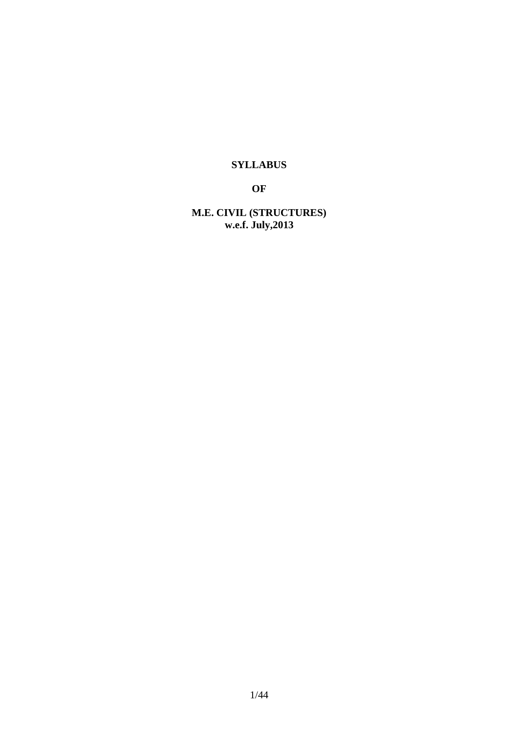## **SYLLABUS**

**OF** 

**M.E. CIVIL (STRUCTURES) w.e.f. July,2013**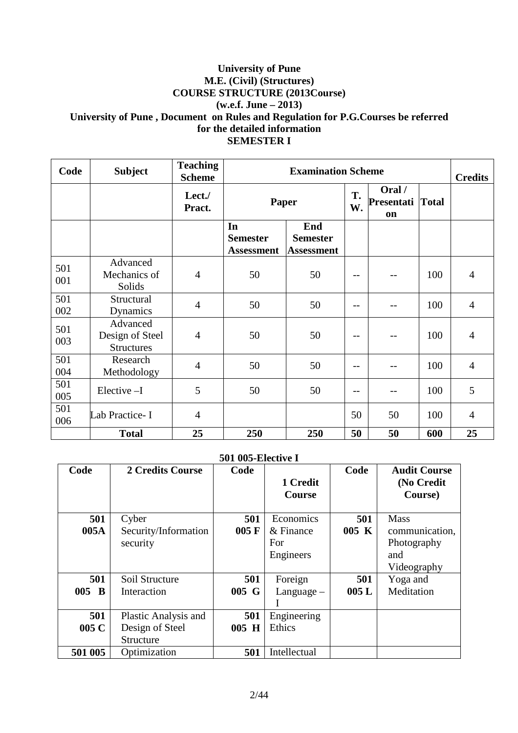## **University of Pune M.E. (Civil) (Structures) COURSE STRUCTURE (2013Course) (w.e.f. June – 2013) University of Pune , Document on Rules and Regulation for P.G.Courses be referred for the detailed information SEMESTER I**

| Code       | <b>Subject</b>                                   | <b>Teaching</b><br><b>Scheme</b> |                                            | <b>Examination Scheme</b>                   |       |                                   |       |                |  |
|------------|--------------------------------------------------|----------------------------------|--------------------------------------------|---------------------------------------------|-------|-----------------------------------|-------|----------------|--|
|            |                                                  | Lect./<br>Pract.                 | <b>Paper</b>                               |                                             |       | Oral /<br>Presentati<br><b>on</b> | Total |                |  |
|            |                                                  |                                  | In<br><b>Semester</b><br><b>Assessment</b> | End<br><b>Semester</b><br><b>Assessment</b> |       |                                   |       |                |  |
| 501<br>001 | Advanced<br>Mechanics of<br>Solids               | $\overline{4}$                   | 50                                         | 50                                          | --    |                                   | 100   | $\overline{4}$ |  |
| 501<br>002 | Structural<br>Dynamics                           | $\overline{4}$                   | 50                                         | 50                                          | $-$   |                                   | 100   | $\overline{4}$ |  |
| 501<br>003 | Advanced<br>Design of Steel<br><b>Structures</b> | $\overline{4}$                   | 50                                         | 50                                          | $- -$ |                                   | 100   | $\overline{4}$ |  |
| 501<br>004 | Research<br>Methodology                          | $\overline{4}$                   | 50                                         | 50                                          | --    |                                   | 100   | 4              |  |
| 501<br>005 | Elective-I                                       | 5                                | 50                                         | 50                                          | $- -$ |                                   | 100   | 5              |  |
| 501<br>006 | Lab Practice-I                                   | 4                                |                                            |                                             | 50    | 50                                | 100   | $\overline{4}$ |  |
|            | <b>Total</b>                                     | 25                               | 250                                        | 250                                         | 50    | 50                                | 600   | 25             |  |

### **501 005-Elective I**

| Code    | <b>2 Credits Course</b> | Code            | 1 Credit<br><b>Course</b> | Code  | <b>Audit Course</b><br>(No Credit<br>Course) |
|---------|-------------------------|-----------------|---------------------------|-------|----------------------------------------------|
| 501     | Cyber                   | 501             | Economics                 | 501   | <b>Mass</b>                                  |
| 005A    | Security/Information    | $005 \text{ F}$ | $&$ Finance               | 005 K | communication,                               |
|         | security                |                 | For                       |       | Photography                                  |
|         |                         |                 | Engineers                 |       | and                                          |
|         |                         |                 |                           |       | Videography                                  |
| 501     | Soil Structure          | 501             | Foreign                   | 501   | Yoga and                                     |
| 005 B   | Interaction             | 005 G           | $L$ anguage $-$           | 005L  | Meditation                                   |
|         |                         |                 |                           |       |                                              |
| 501     | Plastic Analysis and    | 501             | Engineering               |       |                                              |
| 005 C   | Design of Steel         | 005 H           | Ethics                    |       |                                              |
|         | Structure               |                 |                           |       |                                              |
| 501 005 | Optimization            | 501             | Intellectual              |       |                                              |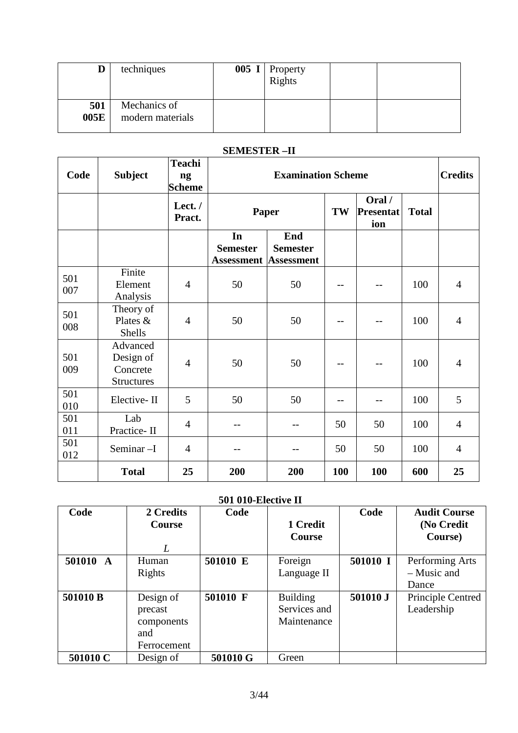| D           | techniques                       | <b>005 I</b> Property Rights |  |
|-------------|----------------------------------|------------------------------|--|
| 501<br>005E | Mechanics of<br>modern materials |                              |  |

## **SEMESTER –II**

| Code       | <b>Subject</b>                                         | <b>Teachi</b><br>ng<br><b>Scheme</b> |                                                       |                        | <b>Credits</b> |                                   |              |                |
|------------|--------------------------------------------------------|--------------------------------------|-------------------------------------------------------|------------------------|----------------|-----------------------------------|--------------|----------------|
|            |                                                        | Lect./<br>Pract.                     | Paper                                                 |                        | TW             | Oral /<br><b>Presentat</b><br>ion | <b>Total</b> |                |
|            |                                                        |                                      | In<br><b>Semester</b><br><b>Assessment Assessment</b> | End<br><b>Semester</b> |                |                                   |              |                |
| 501<br>007 | Finite<br>Element<br>Analysis                          | $\overline{4}$                       | 50                                                    | 50                     |                |                                   | 100          | $\overline{4}$ |
| 501<br>008 | Theory of<br>Plates &<br>Shells                        | $\overline{4}$                       | 50                                                    | 50                     |                |                                   | 100          | $\overline{4}$ |
| 501<br>009 | Advanced<br>Design of<br>Concrete<br><b>Structures</b> | $\overline{4}$                       | 50                                                    | 50                     |                |                                   | 100          | $\overline{4}$ |
| 501<br>010 | Elective-II                                            | 5                                    | 50                                                    | 50                     | --             |                                   | 100          | 5              |
| 501<br>011 | Lab<br>Practice-II                                     | 4                                    |                                                       |                        | 50             | 50                                | 100          | $\overline{4}$ |
| 501<br>012 | Seminar-I                                              | $\overline{4}$                       |                                                       |                        | 50             | 50                                | 100          | $\overline{4}$ |
|            | <b>Total</b>                                           | 25                                   | 200                                                   | 200                    | 100            | 100                               | 600          | 25             |

## **501 010-Elective II**

| Code     | 2 Credits<br><b>Course</b>                               | Code     | 1 Credit<br><b>Course</b>                      | Code     | <b>Audit Course</b><br>(No Credit<br>Course) |
|----------|----------------------------------------------------------|----------|------------------------------------------------|----------|----------------------------------------------|
| 501010 A | L<br>Human<br>Rights                                     | 501010 E | Foreign<br>Language II                         | 501010 I | Performing Arts<br>- Music and<br>Dance      |
| 501010 B | Design of<br>precast<br>components<br>and<br>Ferrocement | 501010 F | <b>Building</b><br>Services and<br>Maintenance | 501010 J | Principle Centred<br>Leadership              |
| 501010 C | Design of                                                | 501010 G | Green                                          |          |                                              |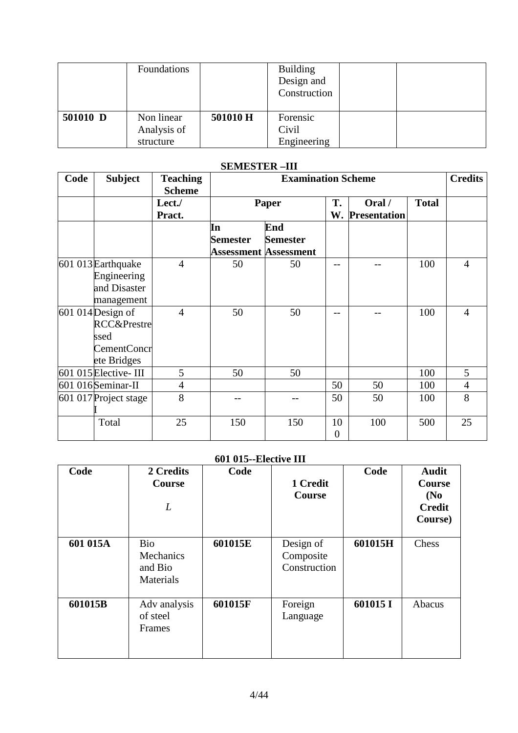|          | Foundations                            |          | <b>Building</b><br>Design and<br>Construction |  |
|----------|----------------------------------------|----------|-----------------------------------------------|--|
| 501010 D | Non linear<br>Analysis of<br>structure | 501010 H | Forensic<br>Civil<br>Engineering              |  |

## **SEMESTER –III**

| Code | <b>Subject</b>                                                                            | <b>Teaching</b><br><b>Scheme</b> |                 | <b>Examination Scheme</b>    |                        |                           |              |                |  |  |
|------|-------------------------------------------------------------------------------------------|----------------------------------|-----------------|------------------------------|------------------------|---------------------------|--------------|----------------|--|--|
|      |                                                                                           | Lect./<br>Pract.                 | Paper           |                              | T.                     | Oral /<br>W. Presentation | <b>Total</b> |                |  |  |
|      |                                                                                           |                                  | In              | End                          |                        |                           |              |                |  |  |
|      |                                                                                           |                                  | <b>Semester</b> | <b>Semester</b>              |                        |                           |              |                |  |  |
|      |                                                                                           |                                  |                 | <b>Assessment Assessment</b> |                        |                           |              |                |  |  |
|      | 601 013 Earthquake<br>Engineering<br>and Disaster                                         | $\overline{4}$                   | 50              | 50                           |                        |                           | 100          | $\overline{4}$ |  |  |
|      | management                                                                                |                                  |                 |                              |                        |                           |              |                |  |  |
|      | $601014$ Design of<br><b>RCC&amp;Prestre</b><br>ssed<br><b>CementConcr</b><br>ete Bridges | $\overline{4}$                   | 50              | 50                           | $-$                    |                           | 100          | $\overline{4}$ |  |  |
|      | $601015$ Elective-III                                                                     | 5                                | 50              | 50                           |                        |                           | 100          | 5              |  |  |
|      | 601 016 Seminar-II                                                                        | $\overline{4}$                   |                 |                              | 50                     | 50                        | 100          | $\overline{4}$ |  |  |
|      | 601 017 Project stage                                                                     | 8                                |                 |                              | 50                     | 50                        | 100          | 8              |  |  |
|      | Total                                                                                     | 25                               | 150             | 150                          | 10<br>$\boldsymbol{0}$ | 100                       | 500          | 25             |  |  |

### **601 015--Elective III**

| Code     | 2 Credits<br>Course<br>L                        | Code    | 1 Credit<br><b>Course</b>              | Code     | <b>Audit</b><br><b>Course</b><br>(N <sub>0</sub> )<br><b>Credit</b><br>Course) |
|----------|-------------------------------------------------|---------|----------------------------------------|----------|--------------------------------------------------------------------------------|
| 601 015A | <b>Bio</b><br>Mechanics<br>and Bio<br>Materials | 601015E | Design of<br>Composite<br>Construction | 601015H  | Chess                                                                          |
| 601015B  | Adv analysis<br>of steel<br>Frames              | 601015F | Foreign<br>Language                    | 601015 I | Abacus                                                                         |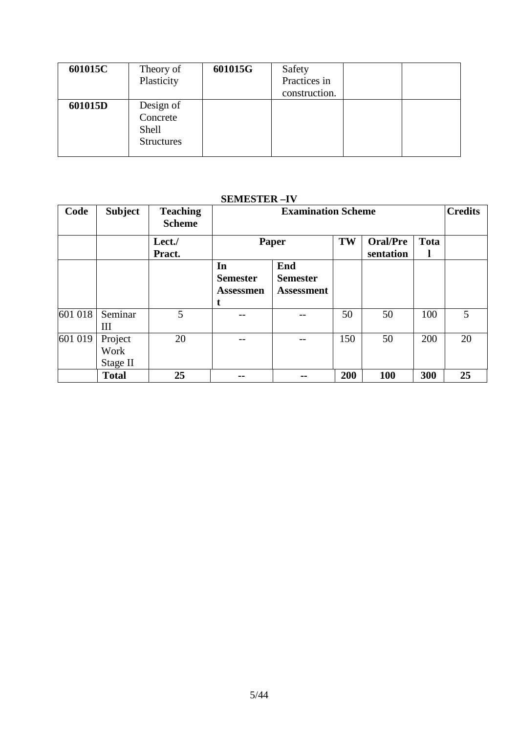| 601015C | Theory of<br>Plasticity                             | 601015G | Safety<br>Practices in<br>construction. |  |
|---------|-----------------------------------------------------|---------|-----------------------------------------|--|
| 601015D | Design of<br>Concrete<br>Shell<br><b>Structures</b> |         |                                         |  |

### **SEMESTER –IV**

| Code    | <b>Subject</b>              | <b>Teaching</b><br><b>Scheme</b> |                                                | <b>Examination Scheme</b>                   |     |                              |      |    |
|---------|-----------------------------|----------------------------------|------------------------------------------------|---------------------------------------------|-----|------------------------------|------|----|
|         |                             | Lect./<br>Pract.                 | Paper                                          |                                             | TW  | <b>Oral/Pre</b><br>sentation | Tota |    |
|         |                             |                                  | In<br><b>Semester</b><br><b>Assessmen</b><br>τ | End<br><b>Semester</b><br><b>Assessment</b> |     |                              |      |    |
| 601 018 | Seminar<br>Ш                | 5                                |                                                |                                             | 50  | 50                           | 100  | 5  |
| 601 019 | Project<br>Work<br>Stage II | 20                               |                                                |                                             | 150 | 50                           | 200  | 20 |
|         | <b>Total</b>                | 25                               |                                                | --                                          | 200 | <b>100</b>                   | 300  | 25 |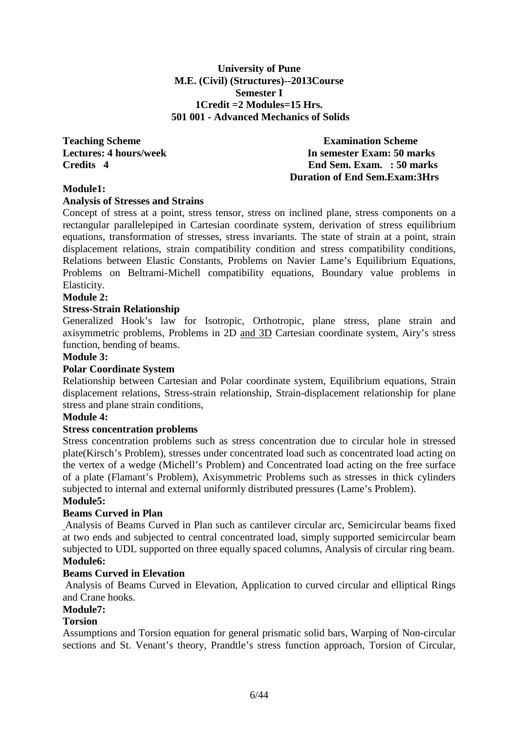**University of Pune M.E. (Civil) (Structures)--2013Course Semester I 1Credit =2 Modules=15 Hrs. 501 001 - Advanced Mechanics of Solids** 

**Teaching Scheme Examination Scheme Lectures: 4 hours/week In semester Exam: 50 marks Credits 4 End Sem. Exam. : 50 marks Duration of End Sem.Exam:3Hrs** 

## **Module1:**

### **Analysis of Stresses and Strains**

Concept of stress at a point, stress tensor, stress on inclined plane, stress components on a rectangular parallelepiped in Cartesian coordinate system, derivation of stress equilibrium equations, transformation of stresses, stress invariants. The state of strain at a point, strain displacement relations, strain compatibility condition and stress compatibility conditions, Relations between Elastic Constants, Problems on Navier Lame's Equilibrium Equations, Problems on Beltrami-Michell compatibility equations, Boundary value problems in Elasticity.

### **Module 2:**

### **Stress-Strain Relationship**

Generalized Hook's law for Isotropic, Orthotropic, plane stress, plane strain and axisymmetric problems, Problems in 2D and 3D Cartesian coordinate system, Airy's stress function, bending of beams.

### **Module 3:**

### **Polar Coordinate System**

Relationship between Cartesian and Polar coordinate system, Equilibrium equations, Strain displacement relations, Stress-strain relationship, Strain-displacement relationship for plane stress and plane strain conditions,

### **Module 4:**

### **Stress concentration problems**

Stress concentration problems such as stress concentration due to circular hole in stressed plate(Kirsch's Problem), stresses under concentrated load such as concentrated load acting on the vertex of a wedge (Michell's Problem) and Concentrated load acting on the free surface of a plate (Flamant's Problem), Axisymmetric Problems such as stresses in thick cylinders subjected to internal and external uniformly distributed pressures (Lame's Problem).

## **Module5:**

### **Beams Curved in Plan**

Analysis of Beams Curved in Plan such as cantilever circular arc, Semicircular beams fixed at two ends and subjected to central concentrated load, simply supported semicircular beam subjected to UDL supported on three equally spaced columns, Analysis of circular ring beam. **Module6:** 

### **Beams Curved in Elevation**

Analysis of Beams Curved in Elevation, Application to curved circular and elliptical Rings and Crane hooks.

### **Module7:**

### **Torsion**

Assumptions and Torsion equation for general prismatic solid bars, Warping of Non-circular sections and St. Venant's theory, Prandtle's stress function approach, Torsion of Circular,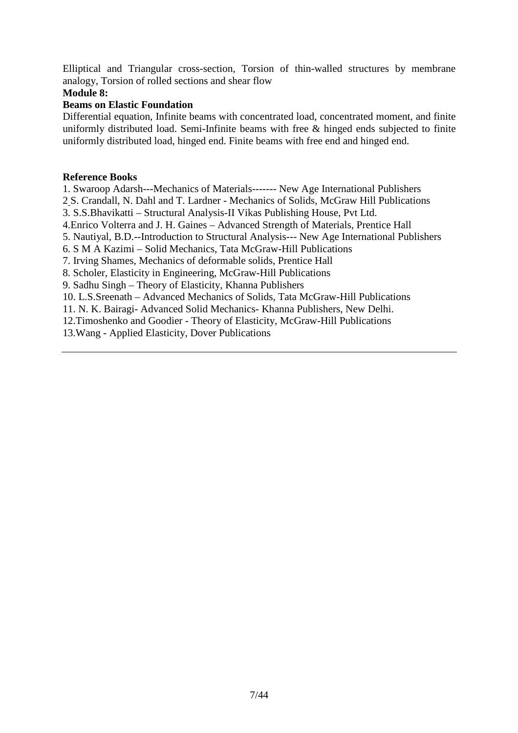Elliptical and Triangular cross-section, Torsion of thin-walled structures by membrane analogy, Torsion of rolled sections and shear flow

## **Module 8:**

## **Beams on Elastic Foundation**

Differential equation, Infinite beams with concentrated load, concentrated moment, and finite uniformly distributed load. Semi-Infinite beams with free & hinged ends subjected to finite uniformly distributed load, hinged end. Finite beams with free end and hinged end.

## **Reference Books**

1. Swaroop Adarsh---Mechanics of Materials------- New Age International Publishers

2 S. Crandall, N. Dahl and T. Lardner - Mechanics of Solids, McGraw Hill Publications

3. S.S.Bhavikatti – Structural Analysis-II Vikas Publishing House, Pvt Ltd.

4.Enrico Volterra and J. H. Gaines – Advanced Strength of Materials, Prentice Hall

5. Nautiyal, B.D.--Introduction to Structural Analysis--- New Age International Publishers

6. S M A Kazimi – Solid Mechanics, Tata McGraw-Hill Publications

7. Irving Shames, Mechanics of deformable solids, Prentice Hall

8. Scholer, Elasticity in Engineering, McGraw-Hill Publications

9. Sadhu Singh – Theory of Elasticity, Khanna Publishers

10. L.S.Sreenath – Advanced Mechanics of Solids, Tata McGraw-Hill Publications

11. N. K. Bairagi- Advanced Solid Mechanics- Khanna Publishers, New Delhi.

12.Timoshenko and Goodier - Theory of Elasticity, McGraw-Hill Publications

13.Wang - Applied Elasticity, Dover Publications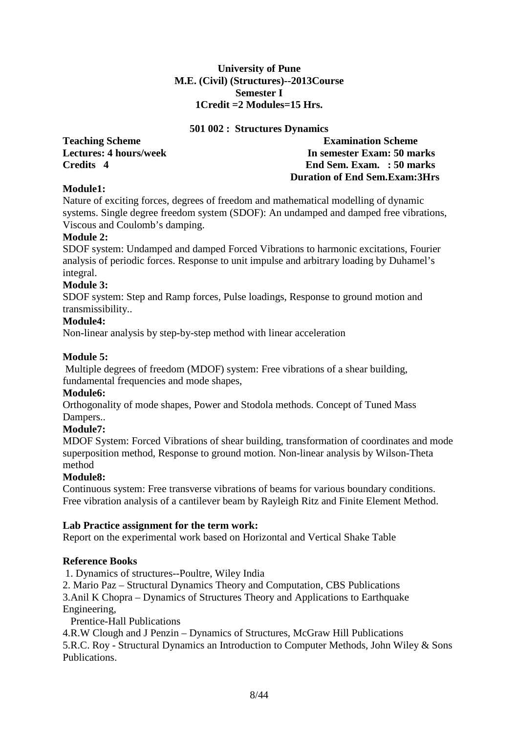## **University of Pune M.E. (Civil) (Structures)--2013Course Semester I 1Credit =2 Modules=15 Hrs.**

### **501 002 : Structures Dynamics**

**Teaching Scheme Examination Scheme Lectures: 4 hours/week In semester Exam: 50 marks Credits 4 End Sem. Exam. : 50 marks Duration of End Sem.Exam:3Hrs** 

## **Module1:**

Nature of exciting forces, degrees of freedom and mathematical modelling of dynamic systems. Single degree freedom system (SDOF): An undamped and damped free vibrations, Viscous and Coulomb's damping.

## **Module 2:**

SDOF system: Undamped and damped Forced Vibrations to harmonic excitations, Fourier analysis of periodic forces. Response to unit impulse and arbitrary loading by Duhamel's integral.

## **Module 3:**

SDOF system: Step and Ramp forces, Pulse loadings, Response to ground motion and transmissibility..

## **Module4:**

Non-linear analysis by step-by-step method with linear acceleration

## **Module 5:**

 Multiple degrees of freedom (MDOF) system: Free vibrations of a shear building, fundamental frequencies and mode shapes,

## **Module6:**

Orthogonality of mode shapes, Power and Stodola methods. Concept of Tuned Mass Dampers..

## **Module7:**

MDOF System: Forced Vibrations of shear building, transformation of coordinates and mode superposition method, Response to ground motion. Non-linear analysis by Wilson-Theta method

## **Module8:**

Continuous system: Free transverse vibrations of beams for various boundary conditions. Free vibration analysis of a cantilever beam by Rayleigh Ritz and Finite Element Method.

## **Lab Practice assignment for the term work:**

Report on the experimental work based on Horizontal and Vertical Shake Table

## **Reference Books**

1. Dynamics of structures--Poultre, Wiley India

2. Mario Paz – Structural Dynamics Theory and Computation, CBS Publications

3.Anil K Chopra – Dynamics of Structures Theory and Applications to Earthquake Engineering,

Prentice-Hall Publications

4.R.W Clough and J Penzin – Dynamics of Structures, McGraw Hill Publications 5.R.C. Roy - Structural Dynamics an Introduction to Computer Methods, John Wiley & Sons **Publications**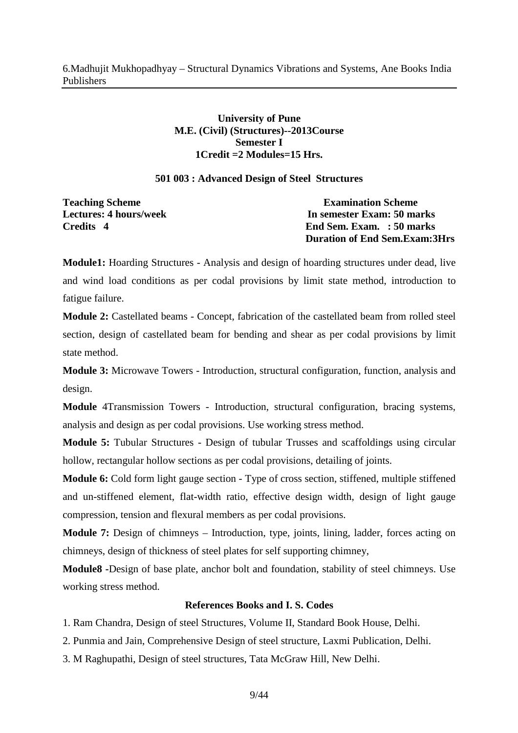## **University of Pune M.E. (Civil) (Structures)--2013Course Semester I 1Credit =2 Modules=15 Hrs.**

### **501 003 : Advanced Design of Steel Structures**

**Teaching Scheme Examination Scheme Lectures: 4 hours/week 1.1 In semester Exam: 50 marks Credits 4 End Sem. Exam. : 50 marks Duration of End Sem.Exam:3Hrs** 

**Module1:** Hoarding Structures - Analysis and design of hoarding structures under dead, live and wind load conditions as per codal provisions by limit state method, introduction to fatigue failure.

**Module 2:** Castellated beams - Concept, fabrication of the castellated beam from rolled steel section, design of castellated beam for bending and shear as per codal provisions by limit state method.

**Module 3:** Microwave Towers - Introduction, structural configuration, function, analysis and design.

**Module** 4Transmission Towers - Introduction, structural configuration, bracing systems, analysis and design as per codal provisions. Use working stress method.

**Module 5:** Tubular Structures - Design of tubular Trusses and scaffoldings using circular hollow, rectangular hollow sections as per codal provisions, detailing of joints.

**Module 6:** Cold form light gauge section - Type of cross section, stiffened, multiple stiffened and un-stiffened element, flat-width ratio, effective design width, design of light gauge compression, tension and flexural members as per codal provisions.

**Module 7:** Design of chimneys – Introduction, type, joints, lining, ladder, forces acting on chimneys, design of thickness of steel plates for self supporting chimney,

**Module8 -**Design of base plate, anchor bolt and foundation, stability of steel chimneys. Use working stress method.

## **References Books and I. S. Codes**

1. Ram Chandra, Design of steel Structures, Volume II, Standard Book House, Delhi.

- 2. Punmia and Jain, Comprehensive Design of steel structure, Laxmi Publication, Delhi.
- 3. M Raghupathi, Design of steel structures, Tata McGraw Hill, New Delhi.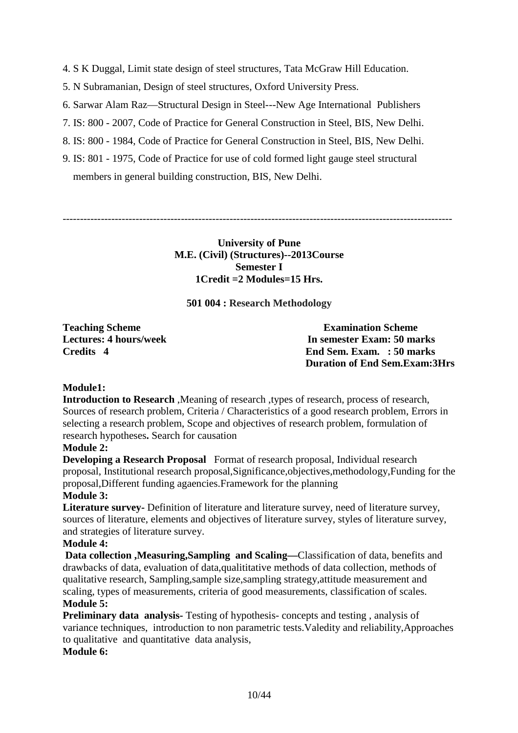- 4. S K Duggal, Limit state design of steel structures, Tata McGraw Hill Education.
- 5. N Subramanian, Design of steel structures, Oxford University Press.
- 6. Sarwar Alam Raz—Structural Design in Steel---New Age International Publishers
- 7. IS: 800 2007, Code of Practice for General Construction in Steel, BIS, New Delhi.
- 8. IS: 800 1984, Code of Practice for General Construction in Steel, BIS, New Delhi.
- 9. IS: 801 1975, Code of Practice for use of cold formed light gauge steel structural members in general building construction, BIS, New Delhi.

----------------------------------------------------------------------------------------------------------------

### **University of Pune M.E. (Civil) (Structures)--2013Course Semester I 1Credit =2 Modules=15 Hrs.**

**501 004 : Research Methodology** 

**Teaching Scheme Examination Scheme Lectures: 4 hours/week 1.1 In semester Exam: 50 marks Credits 4 End Sem. Exam. : 50 marks Duration of End Sem.Exam:3Hrs** 

### **Module1:**

**Introduction to Research**, Meaning of research, types of research, process of research, Sources of research problem, Criteria / Characteristics of a good research problem, Errors in selecting a research problem, Scope and objectives of research problem, formulation of research hypotheses**.** Search for causation

### **Module 2:**

**Developing a Research Proposal** Format of research proposal, Individual research proposal, Institutional research proposal,Significance,objectives,methodology,Funding for the proposal,Different funding agaencies.Framework for the planning

### **Module 3:**

**Literature survey-** Definition of literature and literature survey, need of literature survey, sources of literature, elements and objectives of literature survey, styles of literature survey, and strategies of literature survey.

### **Module 4:**

 **Data collection ,Measuring,Sampling and Scaling—**Classification of data, benefits and drawbacks of data, evaluation of data,qualititative methods of data collection, methods of qualitative research, Sampling,sample size,sampling strategy,attitude measurement and scaling, types of measurements, criteria of good measurements, classification of scales. **Module 5:** 

**Preliminary data analysis-** Testing of hypothesis- concepts and testing , analysis of variance techniques, introduction to non parametric tests.Valedity and reliability,Approaches to qualitative and quantitative data analysis,

### **Module 6:**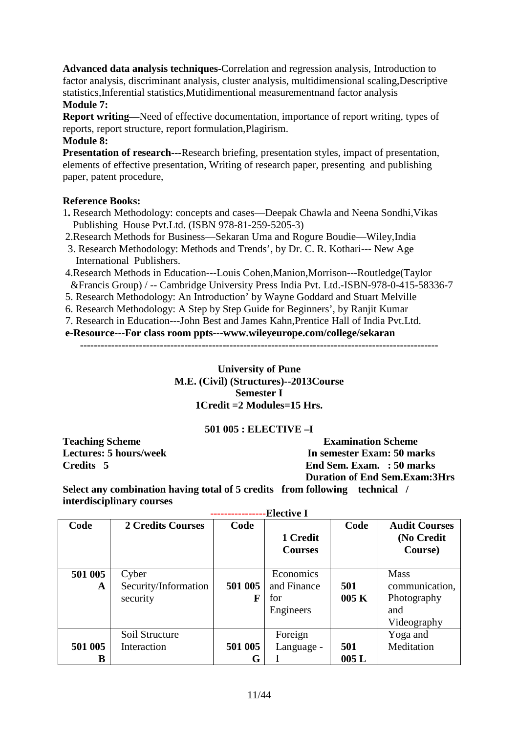**Advanced data analysis techniques-**Correlation and regression analysis, Introduction to factor analysis, discriminant analysis, cluster analysis, multidimensional scaling,Descriptive statistics,Inferential statistics,Mutidimentional measurementnand factor analysis

## **Module 7:**

**Report writing—**Need of effective documentation, importance of report writing, types of reports, report structure, report formulation,Plagirism.

## **Module 8:**

**Presentation of research---**Research briefing, presentation styles, impact of presentation, elements of effective presentation, Writing of research paper, presenting and publishing paper, patent procedure,

## **Reference Books:**

- 1**.** Research Methodology: concepts and cases—Deepak Chawla and Neena Sondhi,Vikas Publishing House Pvt.Ltd. (ISBN 978-81-259-5205-3)
- 2.Research Methods for Business—Sekaran Uma and Rogure Boudie—Wiley,India
- 3. Research Methodology: Methods and Trends', by Dr. C. R. Kothari--- New Age International Publishers.
- 4.Research Methods in Education---Louis Cohen,Manion,Morrison---Routledge(Taylor &Francis Group) / -- Cambridge University Press India Pvt. Ltd.-ISBN-978-0-415-58336-7
- 5. Research Methodology: An Introduction' by Wayne Goddard and Stuart Melville
- 6. Research Methodology: A Step by Step Guide for Beginners', by Ranjit Kumar

7. Research in Education---John Best and James Kahn,Prentice Hall of India Pvt.Ltd.

**e-Resource---For class room ppts---www.wileyeurope.com/college/sekaran** 

**-------------------------------------------------------------------------------------------------------** 

**University of Pune M.E. (Civil) (Structures)--2013Course Semester I 1Credit =2 Modules=15 Hrs.** 

## **501 005 : ELECTIVE –I**

**Teaching Scheme Examination Scheme Lectures: 5 hours/week In semester Exam: 50 marks Credits 5 End Sem. Exam. : 50 marks Duration of End Sem.Exam:3Hrs** 

**Select any combination having total of 5 credits from following technical / interdisciplinary courses** 

| ----------<br>•елесиvе 1 |                                           |                         |                                              |             |                                                                    |  |  |  |  |
|--------------------------|-------------------------------------------|-------------------------|----------------------------------------------|-------------|--------------------------------------------------------------------|--|--|--|--|
| Code                     | <b>2 Credits Courses</b>                  | Code                    | 1 Credit<br><b>Courses</b>                   | Code        | <b>Audit Courses</b><br>(No Credit<br>Course)                      |  |  |  |  |
| 501 005<br>A             | Cyber<br>Security/Information<br>security | 501 005<br>$\mathbf{F}$ | Economics<br>and Finance<br>for<br>Engineers | 501<br>005K | <b>Mass</b><br>communication,<br>Photography<br>and<br>Videography |  |  |  |  |
| 501 005<br>В             | Soil Structure<br>Interaction             | 501 005<br>G            | Foreign<br>Language -                        | 501<br>005L | Yoga and<br>Meditation                                             |  |  |  |  |

**----------------Elective I**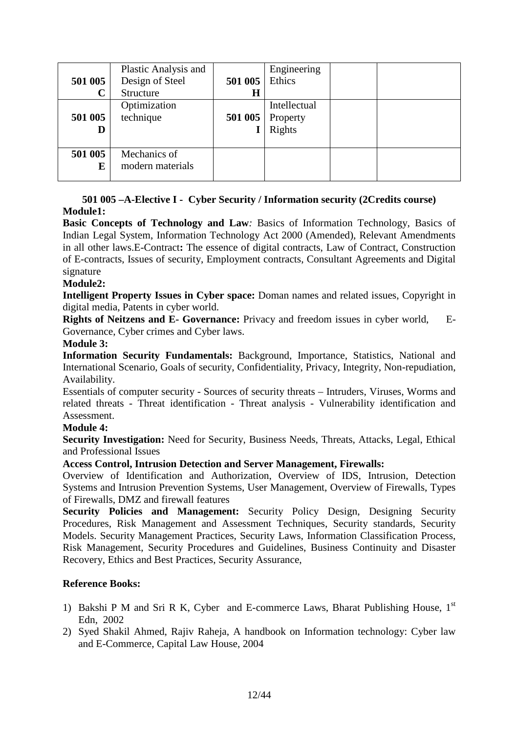|         | Plastic Analysis and |         | Engineering  |  |
|---------|----------------------|---------|--------------|--|
| 501 005 | Design of Steel      | 501 005 | Ethics       |  |
| C       | Structure            | H       |              |  |
|         | Optimization         |         | Intellectual |  |
| 501 005 | technique            | 501 005 | Property     |  |
| D       |                      |         | Rights       |  |
|         |                      |         |              |  |
| 501 005 | Mechanics of         |         |              |  |
| E       | modern materials     |         |              |  |
|         |                      |         |              |  |

## **501 005 –A-Elective I - Cyber Security / Information security (2Credits course) Module1:**

**Basic Concepts of Technology and Law***:* Basics of Information Technology, Basics of Indian Legal System, Information Technology Act 2000 (Amended), Relevant Amendments in all other laws.E-Contract**:** The essence of digital contracts, Law of Contract, Construction of E-contracts, Issues of security, Employment contracts, Consultant Agreements and Digital signature

## **Module2:**

**Intelligent Property Issues in Cyber space:** Doman names and related issues, Copyright in digital media, Patents in cyber world.

**Rights of Neitzens and E- Governance:** Privacy and freedom issues in cyber world, E-Governance, Cyber crimes and Cyber laws.

## **Module 3:**

**Information Security Fundamentals:** Background, Importance, Statistics, National and International Scenario, Goals of security, Confidentiality, Privacy, Integrity, Non-repudiation, Availability.

Essentials of computer security - Sources of security threats – Intruders, Viruses, Worms and related threats - Threat identification - Threat analysis - Vulnerability identification and Assessment.

## **Module 4:**

**Security Investigation:** Need for Security, Business Needs, Threats, Attacks, Legal, Ethical and Professional Issues

## **Access Control, Intrusion Detection and Server Management, Firewalls:**

Overview of Identification and Authorization, Overview of IDS, Intrusion, Detection Systems and Intrusion Prevention Systems, User Management, Overview of Firewalls, Types of Firewalls, DMZ and firewall features

**Security Policies and Management:** Security Policy Design, Designing Security Procedures, Risk Management and Assessment Techniques, Security standards, Security Models. Security Management Practices, Security Laws, Information Classification Process, Risk Management, Security Procedures and Guidelines, Business Continuity and Disaster Recovery, Ethics and Best Practices, Security Assurance,

## **Reference Books:**

- 1) Bakshi P M and Sri R K, Cyber and E-commerce Laws, Bharat Publishing House,  $1<sup>st</sup>$ Edn, 2002
- 2) Syed Shakil Ahmed, Rajiv Raheja, A handbook on Information technology: Cyber law and E-Commerce, Capital Law House, 2004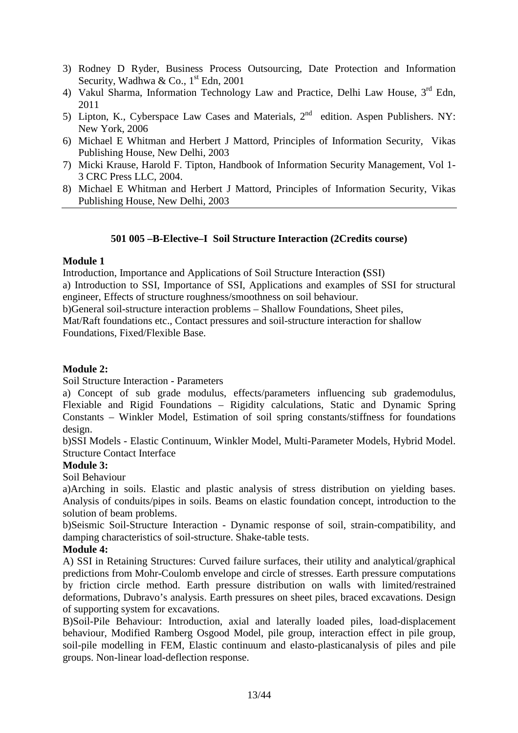- 3) Rodney D Ryder, Business Process Outsourcing, Date Protection and Information Security, Wadhwa & Co.,  $1<sup>st</sup>$  Edn, 2001
- 4) Vakul Sharma, Information Technology Law and Practice, Delhi Law House, 3<sup>rd</sup> Edn, 2011
- 5) Lipton, K., Cyberspace Law Cases and Materials, 2<sup>nd</sup> edition. Aspen Publishers. NY: New York, 2006
- 6) Michael E Whitman and Herbert J Mattord, Principles of Information Security, Vikas Publishing House, New Delhi, 2003
- 7) Micki Krause, Harold F. Tipton, Handbook of Information Security Management, Vol 1- 3 CRC Press LLC, 2004.
- 8) Michael E Whitman and Herbert J Mattord, Principles of Information Security, Vikas Publishing House, New Delhi, 2003

## **501 005 –B-Elective–I Soil Structure Interaction (2Credits course)**

### **Module 1**

Introduction, Importance and Applications of Soil Structure Interaction **(**SSI)

a) Introduction to SSI, Importance of SSI, Applications and examples of SSI for structural engineer, Effects of structure roughness/smoothness on soil behaviour.

b)General soil-structure interaction problems – Shallow Foundations, Sheet piles,

Mat/Raft foundations etc., Contact pressures and soil-structure interaction for shallow Foundations, Fixed/Flexible Base.

### **Module 2:**

Soil Structure Interaction - Parameters

a) Concept of sub grade modulus, effects/parameters influencing sub grademodulus, Flexiable and Rigid Foundations – Rigidity calculations, Static and Dynamic Spring Constants – Winkler Model, Estimation of soil spring constants/stiffness for foundations design.

b)SSI Models - Elastic Continuum, Winkler Model, Multi-Parameter Models, Hybrid Model. Structure Contact Interface

### **Module 3:**

Soil Behaviour

a)Arching in soils. Elastic and plastic analysis of stress distribution on yielding bases. Analysis of conduits/pipes in soils. Beams on elastic foundation concept, introduction to the solution of beam problems.

b)Seismic Soil-Structure Interaction - Dynamic response of soil, strain-compatibility, and damping characteristics of soil-structure. Shake-table tests.

## **Module 4:**

A) SSI in Retaining Structures: Curved failure surfaces, their utility and analytical/graphical predictions from Mohr-Coulomb envelope and circle of stresses. Earth pressure computations by friction circle method. Earth pressure distribution on walls with limited/restrained deformations, Dubravo's analysis. Earth pressures on sheet piles, braced excavations. Design of supporting system for excavations.

B)Soil-Pile Behaviour: Introduction, axial and laterally loaded piles, load-displacement behaviour, Modified Ramberg Osgood Model, pile group, interaction effect in pile group, soil-pile modelling in FEM, Elastic continuum and elasto-plasticanalysis of piles and pile groups. Non-linear load-deflection response.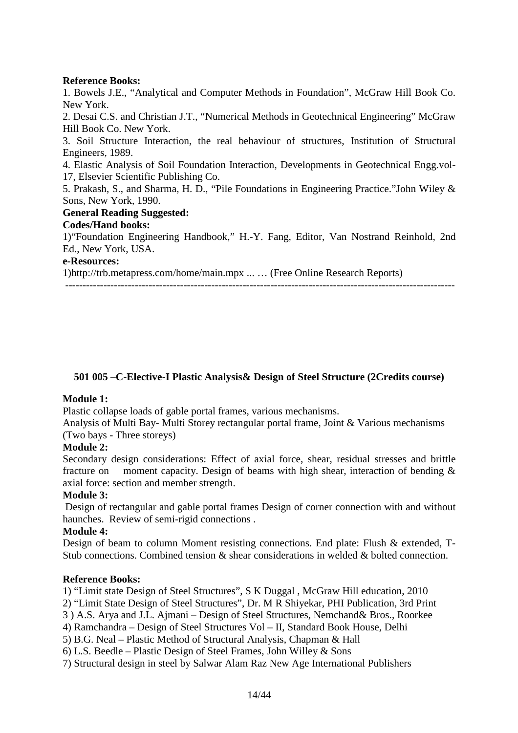## **Reference Books:**

1. Bowels J.E., "Analytical and Computer Methods in Foundation", McGraw Hill Book Co. New York.

2. Desai C.S. and Christian J.T., "Numerical Methods in Geotechnical Engineering" McGraw Hill Book Co. New York.

3. Soil Structure Interaction, the real behaviour of structures, Institution of Structural Engineers, 1989.

4. Elastic Analysis of Soil Foundation Interaction, Developments in Geotechnical Engg.vol-17, Elsevier Scientific Publishing Co.

5. Prakash, S., and Sharma, H. D., "Pile Foundations in Engineering Practice."John Wiley & Sons, New York, 1990.

## **General Reading Suggested:**

### **Codes/Hand books:**

1)"Foundation Engineering Handbook," H.-Y. Fang, Editor, Van Nostrand Reinhold, 2nd Ed., New York, USA.

----------------------------------------------------------------------------------------------------------------

### **e-Resources:**

1)http://trb.metapress.com/home/main.mpx ... … (Free Online Research Reports)

## **501 005 –C-Elective-I Plastic Analysis& Design of Steel Structure (2Credits course)**

### **Module 1:**

Plastic collapse loads of gable portal frames, various mechanisms.

Analysis of Multi Bay- Multi Storey rectangular portal frame, Joint & Various mechanisms (Two bays - Three storeys)

### **Module 2:**

Secondary design considerations: Effect of axial force, shear, residual stresses and brittle fracture on moment capacity. Design of beams with high shear, interaction of bending & axial force: section and member strength.

### **Module 3:**

 Design of rectangular and gable portal frames Design of corner connection with and without haunches. Review of semi-rigid connections .

### **Module 4:**

Design of beam to column Moment resisting connections. End plate: Flush & extended, T-Stub connections. Combined tension & shear considerations in welded & bolted connection.

### **Reference Books:**

1) "Limit state Design of Steel Structures", S K Duggal , McGraw Hill education, 2010

2) "Limit State Design of Steel Structures", Dr. M R Shiyekar, PHI Publication, 3rd Print

3 ) A.S. Arya and J.L. Ajmani – Design of Steel Structures, Nemchand& Bros., Roorkee

- 4) Ramchandra Design of Steel Structures Vol II, Standard Book House, Delhi
- 5) B.G. Neal Plastic Method of Structural Analysis, Chapman & Hall
- 6) L.S. Beedle Plastic Design of Steel Frames, John Willey & Sons

7) Structural design in steel by Salwar Alam Raz New Age International Publishers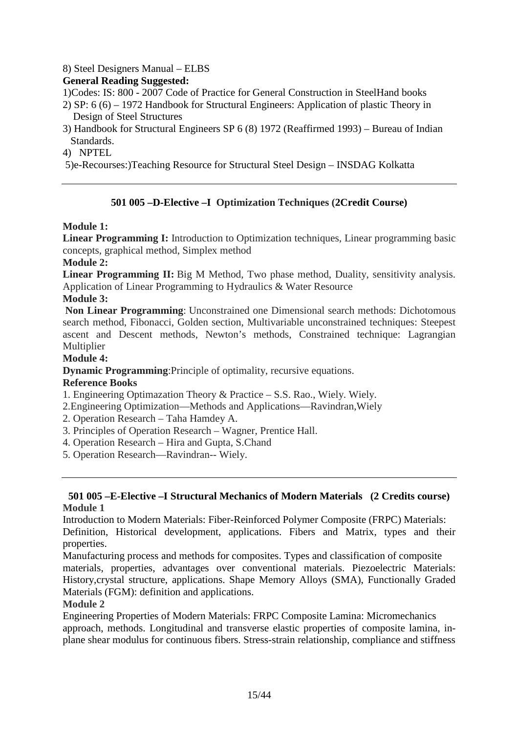8) Steel Designers Manual – ELBS

## **General Reading Suggested:**

1)Codes: IS: 800 - 2007 Code of Practice for General Construction in SteelHand books

- 2) SP: 6 (6) 1972 Handbook for Structural Engineers: Application of plastic Theory in Design of Steel Structures
- 3) Handbook for Structural Engineers SP 6 (8) 1972 (Reaffirmed 1993) Bureau of Indian Standards.

4) NPTEL

5)e-Recourses:)Teaching Resource for Structural Steel Design – INSDAG Kolkatta

## **501 005 –D-Elective –I Optimization Techniques (2Credit Course)**

**Module 1:** 

**Linear Programming I:** Introduction to Optimization techniques, Linear programming basic concepts, graphical method, Simplex method

**Module 2:** 

Linear Programming II: Big M Method, Two phase method, Duality, sensitivity analysis. Application of Linear Programming to Hydraulics & Water Resource

### **Module 3:**

 **Non Linear Programming**: Unconstrained one Dimensional search methods: Dichotomous search method, Fibonacci, Golden section, Multivariable unconstrained techniques: Steepest ascent and Descent methods, Newton's methods, Constrained technique: Lagrangian Multiplier

### **Module 4:**

**Dynamic Programming**:Principle of optimality, recursive equations.

## **Reference Books**

1. Engineering Optimazation Theory & Practice – S.S. Rao., Wiely. Wiely.

- 2.Engineering Optimization—Methods and Applications—Ravindran,Wiely
- 2. Operation Research Taha Hamdey A.
- 3. Principles of Operation Research Wagner, Prentice Hall.
- 4. Operation Research Hira and Gupta, S.Chand
- 5. Operation Research—Ravindran-- Wiely.

### **501 005 –E-Elective –I Structural Mechanics of Modern Materials (2 Credits course) Module 1**

Introduction to Modern Materials: Fiber-Reinforced Polymer Composite (FRPC) Materials: Definition, Historical development, applications. Fibers and Matrix, types and their properties.

Manufacturing process and methods for composites. Types and classification of composite materials, properties, advantages over conventional materials. Piezoelectric Materials: History,crystal structure, applications. Shape Memory Alloys (SMA), Functionally Graded Materials (FGM): definition and applications.

### **Module 2**

Engineering Properties of Modern Materials: FRPC Composite Lamina: Micromechanics approach, methods. Longitudinal and transverse elastic properties of composite lamina, inplane shear modulus for continuous fibers. Stress-strain relationship, compliance and stiffness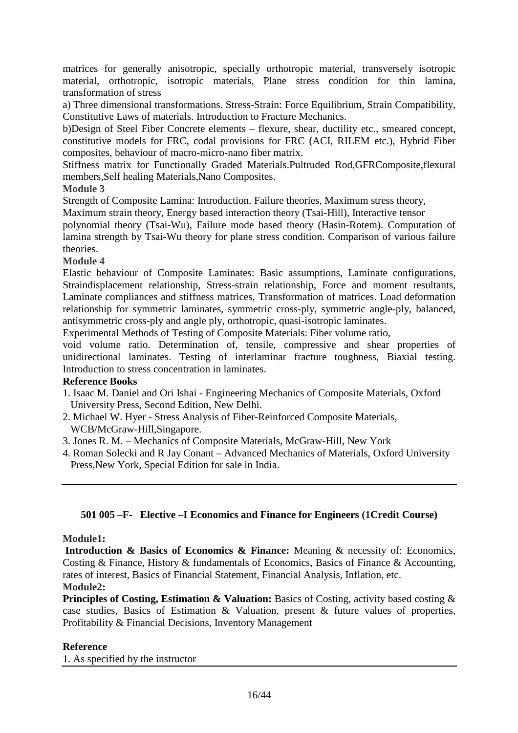matrices for generally anisotropic, specially orthotropic material, transversely isotropic material, orthotropic, isotropic materials, Plane stress condition for thin lamina, transformation of stress

a) Three dimensional transformations. Stress-Strain: Force Equilibrium, Strain Compatibility, Constitutive Laws of materials. Introduction to Fracture Mechanics.

b)Design of Steel Fiber Concrete elements – flexure, shear, ductility etc., smeared concept, constitutive models for FRC, codal provisions for FRC (ACI, RILEM etc.), Hybrid Fiber composites, behaviour of macro-micro-nano fiber matrix.

Stiffness matrix for Functionally Graded Materials.Pultruded Rod,GFRComposite,flexural members,Self healing Materials,Nano Composites.

## **Module 3**

Strength of Composite Lamina: Introduction. Failure theories, Maximum stress theory,

Maximum strain theory, Energy based interaction theory (Tsai-Hill), Interactive tensor

polynomial theory (Tsai-Wu), Failure mode based theory (Hasin-Rotem). Computation of lamina strength by Tsai-Wu theory for plane stress condition. Comparison of various failure theories.

## **Module 4**

Elastic behaviour of Composite Laminates: Basic assumptions, Laminate configurations, Straindisplacement relationship, Stress-strain relationship, Force and moment resultants, Laminate compliances and stiffness matrices, Transformation of matrices. Load deformation relationship for symmetric laminates, symmetric cross-ply, symmetric angle-ply, balanced, antisymmetric cross-ply and angle ply, orthotropic, quasi-isotropic laminates.

Experimental Methods of Testing of Composite Materials: Fiber volume ratio,

void volume ratio. Determination of, tensile, compressive and shear properties of unidirectional laminates. Testing of interlaminar fracture toughness, Biaxial testing. Introduction to stress concentration in laminates.

## **Reference Books**

- 1. Isaac M. Daniel and Ori Ishai Engineering Mechanics of Composite Materials, Oxford University Press, Second Edition, New Delhi.
- 2. Michael W. Hyer Stress Analysis of Fiber-Reinforced Composite Materials, WCB/McGraw-Hill,Singapore.
- 3. Jones R. M. Mechanics of Composite Materials, McGraw-Hill, New York
- 4. Roman Solecki and R Jay Conant Advanced Mechanics of Materials, Oxford University Press,New York, Special Edition for sale in India.

## **501 005 –F- Elective –I Economics and Finance for Engineers (1Credit Course)**

### **Module1:**

 **Introduction & Basics of Economics & Finance:** Meaning & necessity of: Economics, Costing & Finance, History & fundamentals of Economics, Basics of Finance & Accounting, rates of interest, Basics of Financial Statement, Financial Analysis, Inflation, etc.

### **Module2:**

**Principles of Costing, Estimation & Valuation:** Basics of Costing, activity based costing & case studies, Basics of Estimation & Valuation, present & future values of properties, Profitability & Financial Decisions, Inventory Management

### **Reference**

1. As specified by the instructor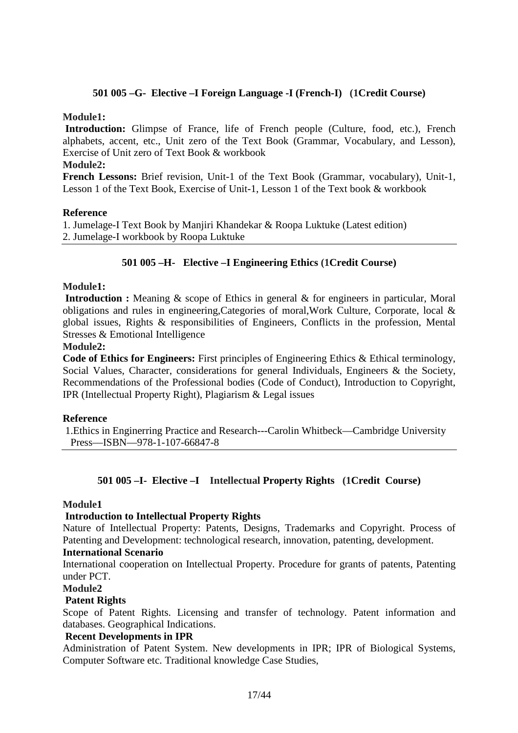## **501 005 –G- Elective –I Foreign Language -I (French-I) (1Credit Course)**

### **Module1:**

Introduction: Glimpse of France, life of French people (Culture, food, etc.), French alphabets, accent, etc., Unit zero of the Text Book (Grammar, Vocabulary, and Lesson), Exercise of Unit zero of Text Book & workbook

### **Module2:**

**French Lessons:** Brief revision, Unit-1 of the Text Book (Grammar, vocabulary), Unit-1, Lesson 1 of the Text Book, Exercise of Unit-1, Lesson 1 of the Text book & workbook

### **Reference**

1. Jumelage-I Text Book by Manjiri Khandekar & Roopa Luktuke (Latest edition) 2. Jumelage-I workbook by Roopa Luktuke

## **501 005 –H- Elective –I Engineering Ethics (1Credit Course)**

### **Module1:**

 **Introduction :** Meaning & scope of Ethics in general & for engineers in particular, Moral obligations and rules in engineering,Categories of moral,Work Culture, Corporate, local & global issues, Rights & responsibilities of Engineers, Conflicts in the profession, Mental Stresses & Emotional Intelligence

### **Module2:**

**Code of Ethics for Engineers:** First principles of Engineering Ethics & Ethical terminology, Social Values, Character, considerations for general Individuals, Engineers & the Society, Recommendations of the Professional bodies (Code of Conduct), Introduction to Copyright, IPR (Intellectual Property Right), Plagiarism & Legal issues

### **Reference**

1.Ethics in Enginerring Practice and Research---Carolin Whitbeck—Cambridge University Press—ISBN—978-1-107-66847-8

## **501 005 –I- Elective –I Intellectual Property Rights (1Credit Course)**

### **Module1**

### **Introduction to Intellectual Property Rights**

Nature of Intellectual Property: Patents, Designs, Trademarks and Copyright. Process of Patenting and Development: technological research, innovation, patenting, development.

### **International Scenario**

International cooperation on Intellectual Property. Procedure for grants of patents, Patenting under PCT.

### **Module2**

### **Patent Rights**

Scope of Patent Rights. Licensing and transfer of technology. Patent information and databases. Geographical Indications.

### **Recent Developments in IPR**

Administration of Patent System. New developments in IPR; IPR of Biological Systems, Computer Software etc. Traditional knowledge Case Studies,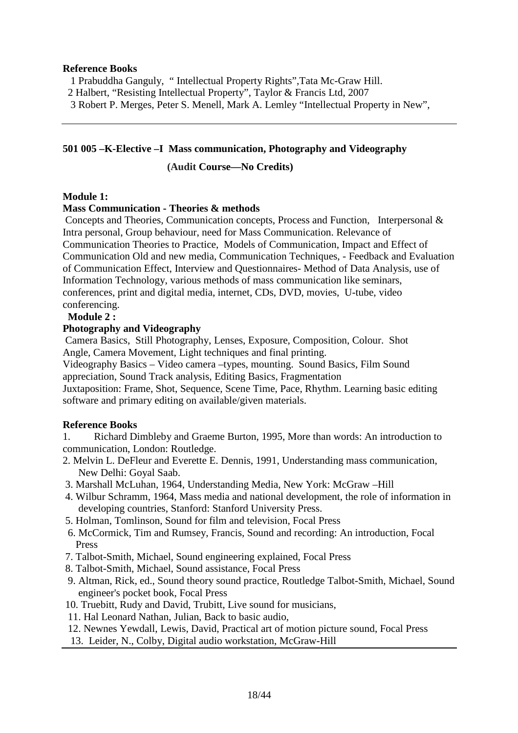## **Reference Books**

1 Prabuddha Ganguly, " Intellectual Property Rights",Tata Mc-Graw Hill.

2 Halbert, "Resisting Intellectual Property", Taylor & Francis Ltd, 2007

3 Robert P. Merges, Peter S. Menell, Mark A. Lemley "Intellectual Property in New",

## **501 005 –K-Elective –I Mass communication, Photography and Videography**

 **(Audit Course—No Credits)**

### **Module 1:**

### **Mass Communication - Theories & methods**

 Concepts and Theories, Communication concepts, Process and Function, Interpersonal & Intra personal, Group behaviour, need for Mass Communication. Relevance of Communication Theories to Practice, Models of Communication, Impact and Effect of Communication Old and new media, Communication Techniques, - Feedback and Evaluation of Communication Effect, Interview and Questionnaires- Method of Data Analysis, use of Information Technology, various methods of mass communication like seminars, conferences, print and digital media, internet, CDs, DVD, movies, U-tube, video conferencing.

### **Module 2 :**

### **Photography and Videography**

 Camera Basics, Still Photography, Lenses, Exposure, Composition, Colour. Shot Angle, Camera Movement, Light techniques and final printing.

Videography Basics – Video camera –types, mounting. Sound Basics, Film Sound appreciation, Sound Track analysis, Editing Basics, Fragmentation

Juxtaposition: Frame, Shot, Sequence, Scene Time, Pace, Rhythm. Learning basic editing software and primary editing on available/given materials.

### **Reference Books**

1. Richard Dimbleby and Graeme Burton, 1995, More than words: An introduction to communication, London: Routledge.

- 2. Melvin L. DeFleur and Everette E. Dennis, 1991, Understanding mass communication, New Delhi: Goyal Saab.
- 3. Marshall McLuhan, 1964, Understanding Media, New York: McGraw –Hill
- 4. Wilbur Schramm, 1964, Mass media and national development, the role of information in developing countries, Stanford: Stanford University Press.
- 5. Holman, Tomlinson, Sound for film and television, Focal Press
- 6. McCormick, Tim and Rumsey, Francis, Sound and recording: An introduction, Focal Press
- 7. Talbot-Smith, Michael, Sound engineering explained*,* Focal Press
- 8. Talbot-Smith, Michael, Sound assistance*,* Focal Press
- 9. Altman, Rick, ed., Sound theory sound practice*,* Routledge Talbot-Smith, Michael, Sound engineer's pocket book, Focal Press
- 10. Truebitt, Rudy and David, Trubitt, Live sound for musicians,
- 11. Hal Leonard Nathan, Julian, Back to basic audio,

### 12. Newnes Yewdall, Lewis, David, Practical art of motion picture sound, Focal Press

13. Leider, N., Colby, Digital audio workstation, McGraw-Hill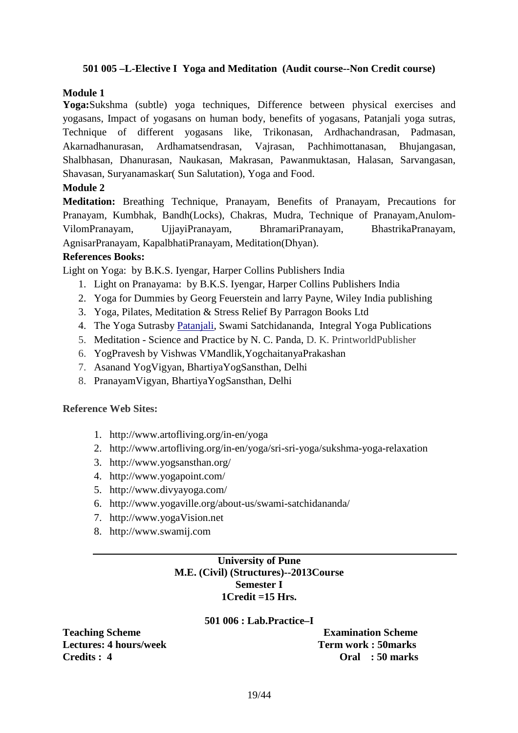## **501 005 –L-Elective I Yoga and Meditation (Audit course--Non Credit course)**

### **Module 1**

**Yoga:**Sukshma (subtle) yoga techniques, Difference between physical exercises and yogasans, Impact of yogasans on human body, benefits of yogasans, Patanjali yoga sutras, Technique of different yogasans like, Trikonasan, Ardhachandrasan, Padmasan, Akarnadhanurasan, Ardhamatsendrasan, Vajrasan, Pachhimottanasan, Bhujangasan, Shalbhasan, Dhanurasan, Naukasan, Makrasan, Pawanmuktasan, Halasan, Sarvangasan, Shavasan, Suryanamaskar( Sun Salutation), Yoga and Food.

### **Module 2**

**Meditation:** Breathing Technique, Pranayam, Benefits of Pranayam, Precautions for Pranayam, Kumbhak, Bandh(Locks), Chakras, Mudra, Technique of Pranayam,Anulom-VilomPranayam, UjjayiPranayam, BhramariPranayam, BhastrikaPranayam, AgnisarPranayam, KapalbhatiPranayam, Meditation(Dhyan).

### **References Books:**

Light on Yoga: by B.K.S. Iyengar, Harper Collins Publishers India

- 1. Light on Pranayama: by B.K.S. Iyengar, Harper Collins Publishers India
- 2. Yoga for Dummies by Georg Feuerstein and larry Payne, Wiley India publishing
- 3. Yoga, Pilates, Meditation & Stress Relief By Parragon Books Ltd
- 4. The Yoga Sutrasby Patanjali, Swami Satchidananda, Integral Yoga Publications
- 5. Meditation Science and Practice by N. C. Panda, D. K. PrintworldPublisher
- 6. YogPravesh by Vishwas VMandlik,YogchaitanyaPrakashan
- 7. Asanand YogVigyan, BhartiyaYogSansthan, Delhi
- 8. PranayamVigyan, BhartiyaYogSansthan, Delhi

### **Reference Web Sites:**

- 1. http://www.artofliving.org/in-en/yoga
- 2. http://www.artofliving.org/in-en/yoga/sri-sri-yoga/sukshma-yoga-relaxation
- 3. http://www.yogsansthan.org/
- 4. http://www.yogapoint.com/
- 5. http://www.divyayoga.com/
- 6. http://www.yogaville.org/about-us/swami-satchidananda/
- 7. http://www.yogaVision.net
- 8. http://www.swamij.com

## **University of Pune M.E. (Civil) (Structures)--2013Course Semester I 1Credit =15 Hrs.**

### **501 006 : Lab.Practice–I**

**Lectures: 4 hours/week Term work : 50marks Credits : 4 Oral : 50 marks** 

**Teaching Scheme Examination Scheme**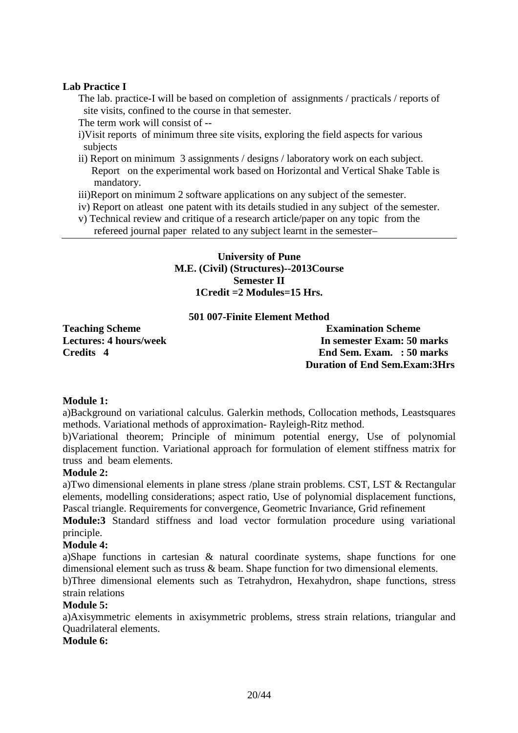### **Lab Practice I**

The lab. practice-I will be based on completion of assignments / practicals / reports of site visits, confined to the course in that semester.

The term work will consist of --

i)Visit reports of minimum three site visits, exploring the field aspects for various subjects

- ii) Report on minimum 3 assignments / designs / laboratory work on each subject. Report on the experimental work based on Horizontal and Vertical Shake Table is mandatory.
- iii)Report on minimum 2 software applications on any subject of the semester.
- iv) Report on atleast one patent with its details studied in any subject of the semester.
- v) Technical review and critique of a research article/paper on any topic from the refereed journal paper related to any subject learnt in the semester–

**University of Pune M.E. (Civil) (Structures)--2013Course Semester II 1Credit =2 Modules=15 Hrs.** 

### **501 007-Finite Element Method**

**Teaching Scheme Examination Scheme Lectures: 4 hours/week In semester Exam: 50 marks Credits 4 End Sem. Exam. : 50 marks Duration of End Sem.Exam:3Hrs** 

### **Module 1:**

a)Background on variational calculus. Galerkin methods, Collocation methods, Leastsquares methods. Variational methods of approximation- Rayleigh-Ritz method.

b)Variational theorem; Principle of minimum potential energy, Use of polynomial displacement function. Variational approach for formulation of element stiffness matrix for truss and beam elements.

### **Module 2:**

a)Two dimensional elements in plane stress /plane strain problems. CST, LST & Rectangular elements, modelling considerations; aspect ratio, Use of polynomial displacement functions, Pascal triangle. Requirements for convergence, Geometric Invariance, Grid refinement

**Module:3** Standard stiffness and load vector formulation procedure using variational principle.

### **Module 4:**

a)Shape functions in cartesian & natural coordinate systems, shape functions for one dimensional element such as truss & beam. Shape function for two dimensional elements.

b)Three dimensional elements such as Tetrahydron, Hexahydron, shape functions, stress strain relations

### **Module 5:**

a)Axisymmetric elements in axisymmetric problems, stress strain relations, triangular and Quadrilateral elements.

### **Module 6:**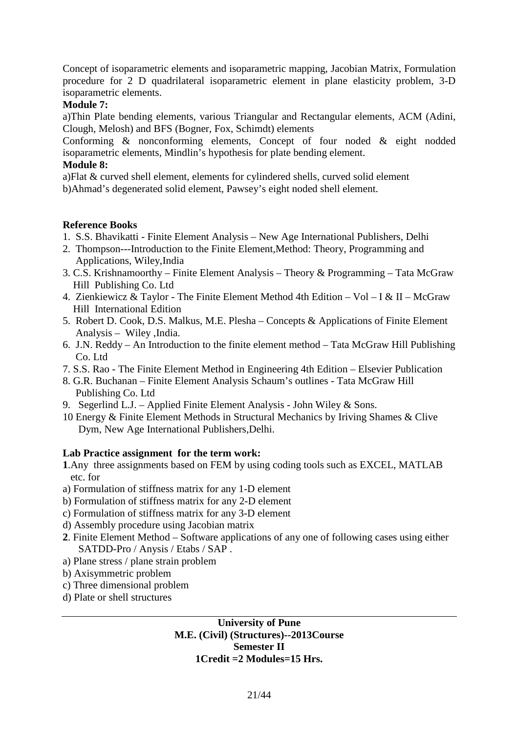Concept of isoparametric elements and isoparametric mapping, Jacobian Matrix, Formulation procedure for 2 D quadrilateral isoparametric element in plane elasticity problem, 3-D isoparametric elements.

## **Module 7:**

a)Thin Plate bending elements, various Triangular and Rectangular elements, ACM (Adini, Clough, Melosh) and BFS (Bogner, Fox, Schimdt) elements

Conforming & nonconforming elements, Concept of four noded & eight nodded isoparametric elements, Mindlin's hypothesis for plate bending element.

## **Module 8:**

a)Flat & curved shell element, elements for cylindered shells, curved solid element b)Ahmad's degenerated solid element, Pawsey's eight noded shell element.

## **Reference Books**

- 1. S.S. Bhavikatti Finite Element Analysis New Age International Publishers, Delhi
- 2. Thompson---Introduction to the Finite Element,Method: Theory, Programming and Applications, Wiley,India
- 3. C.S. Krishnamoorthy Finite Element Analysis Theory & Programming Tata McGraw Hill Publishing Co. Ltd
- 4. Zienkiewicz & Taylor The Finite Element Method 4th Edition Vol I & II McGraw Hill International Edition
- 5. Robert D. Cook, D.S. Malkus, M.E. Plesha Concepts & Applications of Finite Element Analysis – Wiley ,India.
- 6. J.N. Reddy An Introduction to the finite element method Tata McGraw Hill Publishing Co. Ltd
- 7. S.S. Rao The Finite Element Method in Engineering 4th Edition Elsevier Publication
- 8. G.R. Buchanan Finite Element Analysis Schaum's outlines Tata McGraw Hill Publishing Co. Ltd
- 9. Segerlind L.J. Applied Finite Element Analysis John Wiley & Sons.
- 10 Energy & Finite Element Methods in Structural Mechanics by Iriving Shames & Clive Dym, New Age International Publishers,Delhi.

## **Lab Practice assignment for the term work:**

- **1**.Any three assignments based on FEM by using coding tools such as EXCEL, MATLAB etc. for
- a) Formulation of stiffness matrix for any 1-D element
- b) Formulation of stiffness matrix for any 2-D element
- c) Formulation of stiffness matrix for any 3-D element
- d) Assembly procedure using Jacobian matrix
- **2**. Finite Element Method Software applications of any one of following cases using either SATDD-Pro / Anysis / Etabs / SAP .
- a) Plane stress / plane strain problem
- b) Axisymmetric problem
- c) Three dimensional problem
- d) Plate or shell structures

### **University of Pune M.E. (Civil) (Structures)--2013Course Semester II 1Credit =2 Modules=15 Hrs.**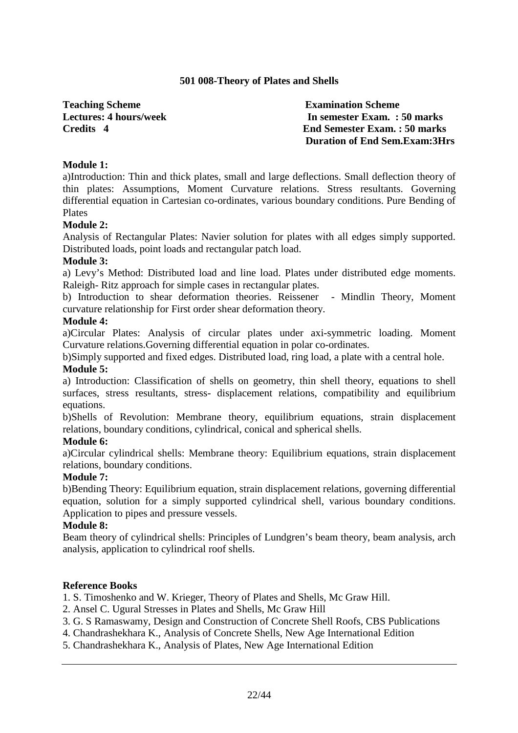## **501 008-Theory of Plates and Shells**

**Teaching Scheme Examination Scheme** 

**Lectures: 4 hours/week In semester Exam. : 50 marks Credits 4 End Semester Exam. : 50 marks Duration of End Sem.Exam:3Hrs** 

## **Module 1:**

a)Introduction: Thin and thick plates, small and large deflections. Small deflection theory of thin plates: Assumptions, Moment Curvature relations. Stress resultants. Governing differential equation in Cartesian co-ordinates, various boundary conditions. Pure Bending of Plates

### **Module 2:**

Analysis of Rectangular Plates: Navier solution for plates with all edges simply supported. Distributed loads, point loads and rectangular patch load.

### **Module 3:**

a) Levy's Method: Distributed load and line load. Plates under distributed edge moments. Raleigh- Ritz approach for simple cases in rectangular plates.

b) Introduction to shear deformation theories. Reissener - Mindlin Theory, Moment curvature relationship for First order shear deformation theory.

### **Module 4:**

a)Circular Plates: Analysis of circular plates under axi-symmetric loading. Moment Curvature relations.Governing differential equation in polar co-ordinates.

b)Simply supported and fixed edges. Distributed load, ring load, a plate with a central hole. **Module 5:** 

a) Introduction: Classification of shells on geometry, thin shell theory, equations to shell surfaces, stress resultants, stress- displacement relations, compatibility and equilibrium equations.

b)Shells of Revolution: Membrane theory, equilibrium equations, strain displacement relations, boundary conditions, cylindrical, conical and spherical shells.

### **Module 6:**

a)Circular cylindrical shells: Membrane theory: Equilibrium equations, strain displacement relations, boundary conditions.

### **Module 7:**

b)Bending Theory: Equilibrium equation, strain displacement relations, governing differential equation, solution for a simply supported cylindrical shell, various boundary conditions. Application to pipes and pressure vessels.

### **Module 8:**

Beam theory of cylindrical shells: Principles of Lundgren's beam theory, beam analysis, arch analysis, application to cylindrical roof shells.

### **Reference Books**

1. S. Timoshenko and W. Krieger, Theory of Plates and Shells, Mc Graw Hill.

- 2. Ansel C. Ugural Stresses in Plates and Shells, Mc Graw Hill
- 3. G. S Ramaswamy, Design and Construction of Concrete Shell Roofs, CBS Publications
- 4. Chandrashekhara K., Analysis of Concrete Shells, New Age International Edition
- 5. Chandrashekhara K., Analysis of Plates, New Age International Edition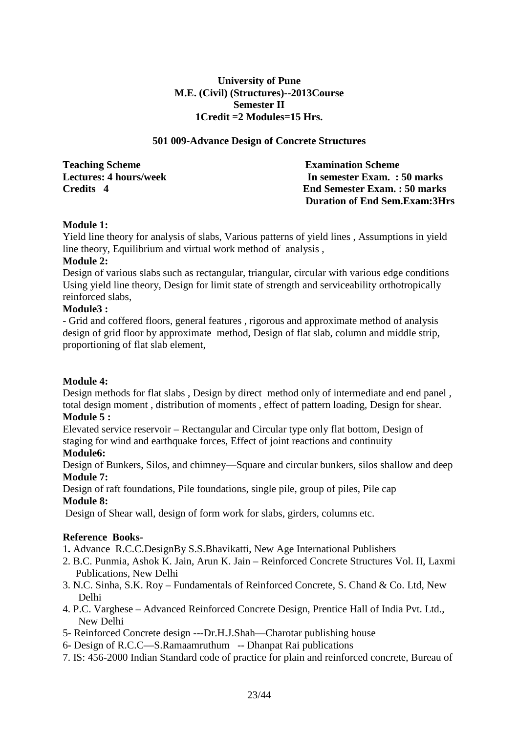## **University of Pune M.E. (Civil) (Structures)--2013Course Semester II 1Credit =2 Modules=15 Hrs.**

### **501 009-Advance Design of Concrete Structures**

| <b>Teaching Scheme</b>        | <b>Examination Scheme</b>            |
|-------------------------------|--------------------------------------|
| <b>Lectures: 4 hours/week</b> | In semester Exam. : 50 marks         |
| Credits 4                     | <b>End Semester Exam.: 50 marks</b>  |
|                               | <b>Duration of End Sem.Exam:3Hrs</b> |

### **Module 1:**

Yield line theory for analysis of slabs, Various patterns of yield lines , Assumptions in yield line theory, Equilibrium and virtual work method of analysis ,

### **Module 2:**

Design of various slabs such as rectangular, triangular, circular with various edge conditions Using yield line theory, Design for limit state of strength and serviceability orthotropically reinforced slabs,

## **Module3 :**

- Grid and coffered floors, general features , rigorous and approximate method of analysis design of grid floor by approximate method, Design of flat slab, column and middle strip, proportioning of flat slab element,

## **Module 4:**

Design methods for flat slabs , Design by direct method only of intermediate and end panel , total design moment , distribution of moments , effect of pattern loading, Design for shear.

### **Module 5 :**

Elevated service reservoir – Rectangular and Circular type only flat bottom, Design of staging for wind and earthquake forces, Effect of joint reactions and continuity

### **Module6:**

Design of Bunkers, Silos, and chimney—Square and circular bunkers, silos shallow and deep **Module 7:**

Design of raft foundations, Pile foundations, single pile, group of piles, Pile cap **Module 8:**

Design of Shear wall, design of form work for slabs, girders, columns etc.

## **Reference Books-**

1**.** Advance R.C.C.DesignBy S.S.Bhavikatti, New Age International Publishers

- 2. B.C. Punmia, Ashok K. Jain, Arun K. Jain Reinforced Concrete Structures Vol. II, Laxmi Publications, New Delhi
- 3. N.C. Sinha, S.K. Roy Fundamentals of Reinforced Concrete, S. Chand & Co. Ltd, New Delhi
- 4. P.C. Varghese Advanced Reinforced Concrete Design, Prentice Hall of India Pvt. Ltd., New Delhi
- 5- Reinforced Concrete design ---Dr.H.J.Shah—Charotar publishing house
- 6- Design of R.C.C—S.Ramaamruthum -- Dhanpat Rai publications
- 7. IS: 456-2000 Indian Standard code of practice for plain and reinforced concrete, Bureau of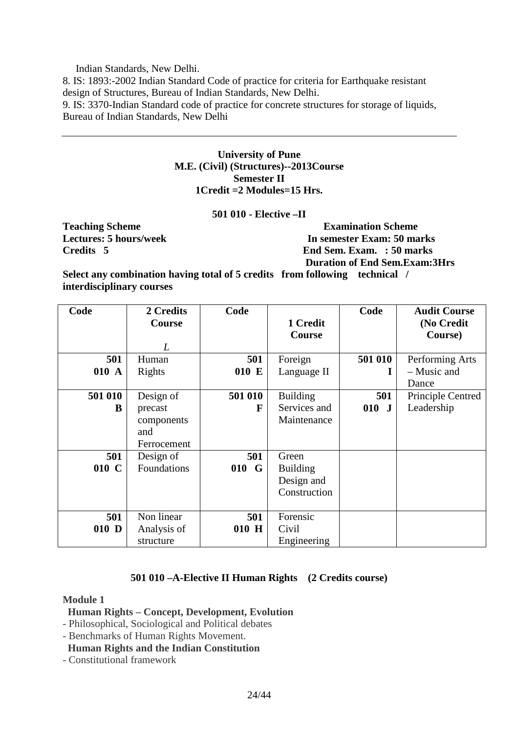Indian Standards, New Delhi.

8. IS: 1893:-2002 Indian Standard Code of practice for criteria for Earthquake resistant design of Structures, Bureau of Indian Standards, New Delhi.

9. IS: 3370-Indian Standard code of practice for concrete structures for storage of liquids, Bureau of Indian Standards, New Delhi

### **University of Pune M.E. (Civil) (Structures)--2013Course Semester II 1Credit =2 Modules=15 Hrs.**

### **501 010 - Elective –II**

**Teaching Scheme Examination Scheme Lectures: 5 hours/week In semester Exam: 50 marks Credits 5 credits 5 marks End Sem. Exam. : 50 marks End Sem. Exam. : 50 marks 2007.** End Sem. Exam. : 50 marks  **Duration of End Sem.Exam:3Hrs** 

**Select any combination having total of 5 credits from following technical / interdisciplinary courses** 

| Code         | 2 Credits<br>Course<br>L                                 | Code         | 1 Credit<br>Course                                     | Code           | <b>Audit Course</b><br>(No Credit<br>Course) |
|--------------|----------------------------------------------------------|--------------|--------------------------------------------------------|----------------|----------------------------------------------|
| 501          | Human                                                    | 501          | Foreign                                                | 501 010        | Performing Arts                              |
| 010 A        | Rights                                                   | 010 E        | Language II                                            | 1              | - Music and<br>Dance                         |
| 501 010<br>B | Design of<br>precast<br>components<br>and<br>Ferrocement | 501 010<br>F | <b>Building</b><br>Services and<br>Maintenance         | 501<br>$010$ J | Principle Centred<br>Leadership              |
| 501<br>010 C | Design of<br>Foundations                                 | 501<br>010 G | Green<br><b>Building</b><br>Design and<br>Construction |                |                                              |
| 501<br>010 D | Non linear<br>Analysis of<br>structure                   | 501<br>010 H | Forensic<br>Civil<br>Engineering                       |                |                                              |

## **501 010 –A-Elective II Human Rights (2 Credits course)**

### **Module 1**

 **Human Rights – Concept, Development, Evolution**

- Philosophical, Sociological and Political debates
- Benchmarks of Human Rights Movement.

### **Human Rights and the Indian Constitution**

- Constitutional framework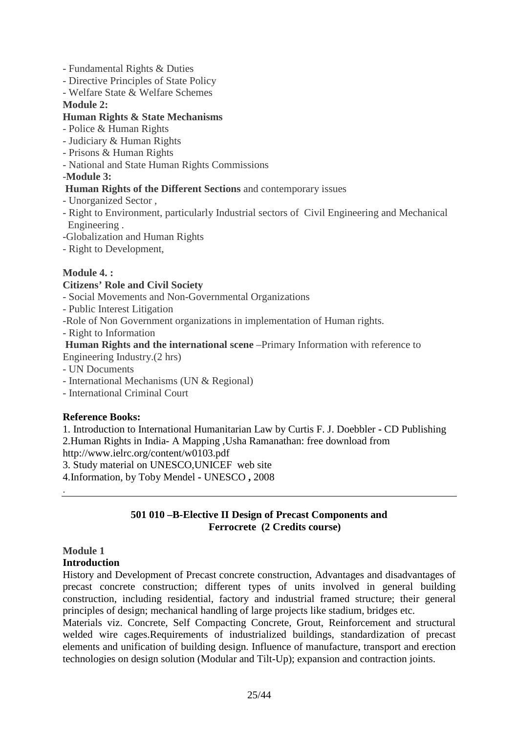- Fundamental Rights & Duties
- Directive Principles of State Policy
- Welfare State & Welfare Schemes
- **Module 2:**

## **Human Rights & State Mechanisms**

- Police & Human Rights
- Judiciary & Human Rights
- Prisons & Human Rights
- National and State Human Rights Commissions

### -**Module 3:**

- **Human Rights of the Different Sections** and contemporary issues
- Unorganized Sector ,
- Right to Environment, particularly Industrial sectors of Civil Engineering and Mechanical Engineering .
- -Globalization and Human Rights
- Right to Development,

## **Module 4. :**

## **Citizens' Role and Civil Society**

- Social Movements and Non-Governmental Organizations
- Public Interest Litigation
- -Role of Non Government organizations in implementation of Human rights.
- Right to Information

### **Human Rights and the international scene** –Primary Information with reference to Engineering Industry.(2 hrs)

- UN Documents
- International Mechanisms (UN & Regional)
- International Criminal Court

## **Reference Books:**

1. Introduction to International Humanitarian Law by Curtis F. J. Doebbler **-** CD Publishing 2.Human Rights in India- A Mapping ,Usha Ramanathan: free download from http://www.ielrc.org/content/w0103.pdf

3. Study material on UNESCO,UNICEF web site

4.Information, by Toby Mendel **-** UNESCO **,** 2008

## **501 010 –B-Elective II Design of Precast Components and Ferrocrete (2 Credits course)**

## **Module 1**

.

## **Introduction**

History and Development of Precast concrete construction, Advantages and disadvantages of precast concrete construction; different types of units involved in general building construction, including residential, factory and industrial framed structure; their general principles of design; mechanical handling of large projects like stadium, bridges etc.

Materials viz. Concrete, Self Compacting Concrete, Grout, Reinforcement and structural welded wire cages.Requirements of industrialized buildings, standardization of precast elements and unification of building design. Influence of manufacture, transport and erection technologies on design solution (Modular and Tilt-Up); expansion and contraction joints.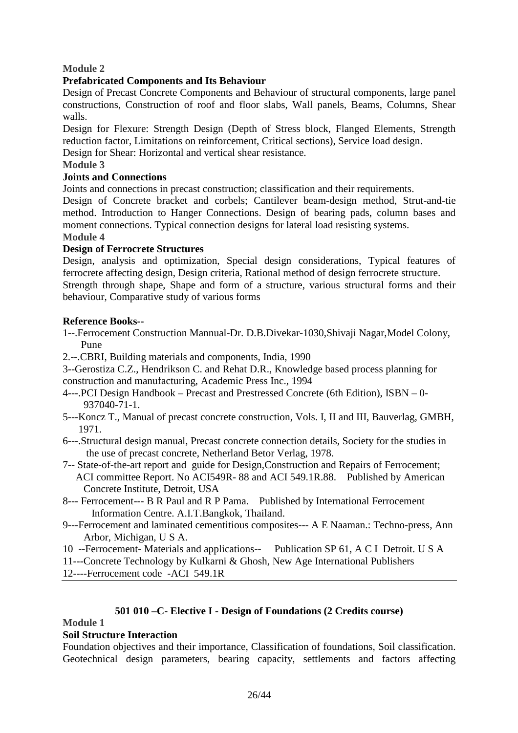## **Module 2**

## **Prefabricated Components and Its Behaviour**

Design of Precast Concrete Components and Behaviour of structural components, large panel constructions, Construction of roof and floor slabs, Wall panels, Beams, Columns, Shear walls.

Design for Flexure: Strength Design (Depth of Stress block, Flanged Elements, Strength reduction factor, Limitations on reinforcement, Critical sections), Service load design.

Design for Shear: Horizontal and vertical shear resistance.

## **Module 3**

## **Joints and Connections**

Joints and connections in precast construction; classification and their requirements.

Design of Concrete bracket and corbels; Cantilever beam-design method, Strut-and-tie method. Introduction to Hanger Connections. Design of bearing pads, column bases and moment connections. Typical connection designs for lateral load resisting systems.

## **Module 4**

## **Design of Ferrocrete Structures**

Design, analysis and optimization, Special design considerations, Typical features of ferrocrete affecting design, Design criteria, Rational method of design ferrocrete structure. Strength through shape, Shape and form of a structure, various structural forms and their behaviour, Comparative study of various forms

## **Reference Books--**

1--.Ferrocement Construction Mannual-Dr. D.B.Divekar-1030,Shivaji Nagar,Model Colony, Pune

2.--.CBRI, Building materials and components, India, 1990

3--Gerostiza C.Z., Hendrikson C. and Rehat D.R., Knowledge based process planning for construction and manufacturing, Academic Press Inc., 1994

- 4---.PCI Design Handbook Precast and Prestressed Concrete (6th Edition), ISBN 0- 937040-71-1.
- 5---Koncz T., Manual of precast concrete construction, Vols. I, II and III, Bauverlag, GMBH, 1971.
- 6---.Structural design manual, Precast concrete connection details, Society for the studies in the use of precast concrete, Netherland Betor Verlag, 1978.
- 7-- State-of-the-art report and guide for Design,Construction and Repairs of Ferrocement; ACI committee Report. No ACI549R- 88 and ACI 549.1R.88. Published by American Concrete Institute, Detroit, USA
- 8--- Ferrocement--- B R Paul and R P Pama. Published by International Ferrocement Information Centre. A.I.T.Bangkok, Thailand.
- 9---Ferrocement and laminated cementitious composites--- A E Naaman.: Techno-press, Ann Arbor, Michigan, U S A.
- 10 --Ferrocement- Materials and applications-- Publication SP 61, A C I Detroit. U S A
- 11---Concrete Technology by Kulkarni & Ghosh, New Age International Publishers
- 12----Ferrocement code -ACI 549.1R

## **501 010 –C- Elective I - Design of Foundations (2 Credits course)**

### **Module 1**

### **Soil Structure Interaction**

Foundation objectives and their importance, Classification of foundations, Soil classification. Geotechnical design parameters, bearing capacity, settlements and factors affecting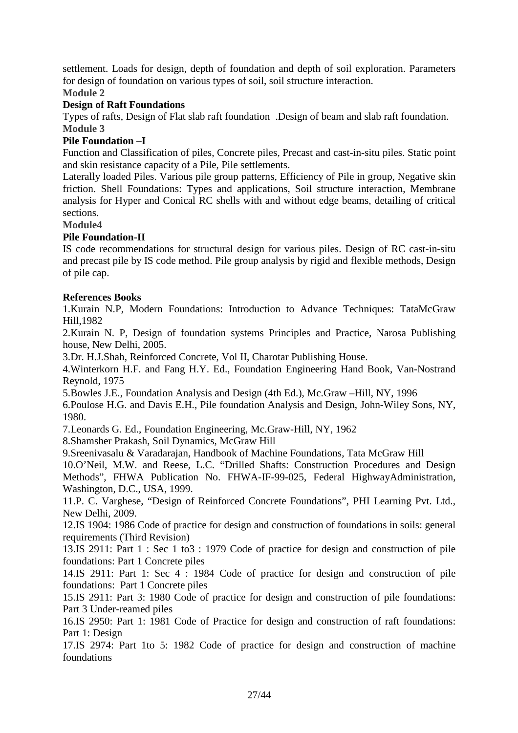settlement. Loads for design, depth of foundation and depth of soil exploration. Parameters for design of foundation on various types of soil, soil structure interaction.

**Module 2** 

## **Design of Raft Foundations**

Types of rafts, Design of Flat slab raft foundation .Design of beam and slab raft foundation. **Module 3** 

## **Pile Foundation –I**

Function and Classification of piles, Concrete piles, Precast and cast-in-situ piles. Static point and skin resistance capacity of a Pile, Pile settlements.

Laterally loaded Piles. Various pile group patterns, Efficiency of Pile in group, Negative skin friction. Shell Foundations: Types and applications, Soil structure interaction, Membrane analysis for Hyper and Conical RC shells with and without edge beams, detailing of critical sections.

**Module4** 

## **Pile Foundation-II**

IS code recommendations for structural design for various piles. Design of RC cast-in-situ and precast pile by IS code method. Pile group analysis by rigid and flexible methods, Design of pile cap.

## **References Books**

1.Kurain N.P, Modern Foundations: Introduction to Advance Techniques: TataMcGraw Hill,1982

2.Kurain N. P, Design of foundation systems Principles and Practice, Narosa Publishing house, New Delhi, 2005.

3.Dr. H.J.Shah, Reinforced Concrete, Vol II, Charotar Publishing House.

4.Winterkorn H.F. and Fang H.Y. Ed., Foundation Engineering Hand Book, Van-Nostrand Reynold, 1975

5.Bowles J.E., Foundation Analysis and Design (4th Ed.), Mc.Graw –Hill, NY, 1996

6.Poulose H.G. and Davis E.H., Pile foundation Analysis and Design, John-Wiley Sons, NY, 1980.

7.Leonards G. Ed., Foundation Engineering, Mc.Graw-Hill, NY, 1962

8.Shamsher Prakash, Soil Dynamics, McGraw Hill

9.Sreenivasalu & Varadarajan, Handbook of Machine Foundations, Tata McGraw Hill

10.O'Neil, M.W. and Reese, L.C. "Drilled Shafts: Construction Procedures and Design Methods", FHWA Publication No. FHWA-IF-99-025, Federal HighwayAdministration, Washington, D.C., USA, 1999.

11.P. C. Varghese, "Design of Reinforced Concrete Foundations", PHI Learning Pvt. Ltd., New Delhi, 2009.

12.IS 1904: 1986 Code of practice for design and construction of foundations in soils: general requirements (Third Revision)

13.IS 2911: Part 1 : Sec 1 to3 : 1979 Code of practice for design and construction of pile foundations: Part 1 Concrete piles

14.IS 2911: Part 1: Sec 4 : 1984 Code of practice for design and construction of pile foundations: Part 1 Concrete piles

15.IS 2911: Part 3: 1980 Code of practice for design and construction of pile foundations: Part 3 Under-reamed piles

16.IS 2950: Part 1: 1981 Code of Practice for design and construction of raft foundations: Part 1: Design

17.IS 2974: Part 1to 5: 1982 Code of practice for design and construction of machine foundations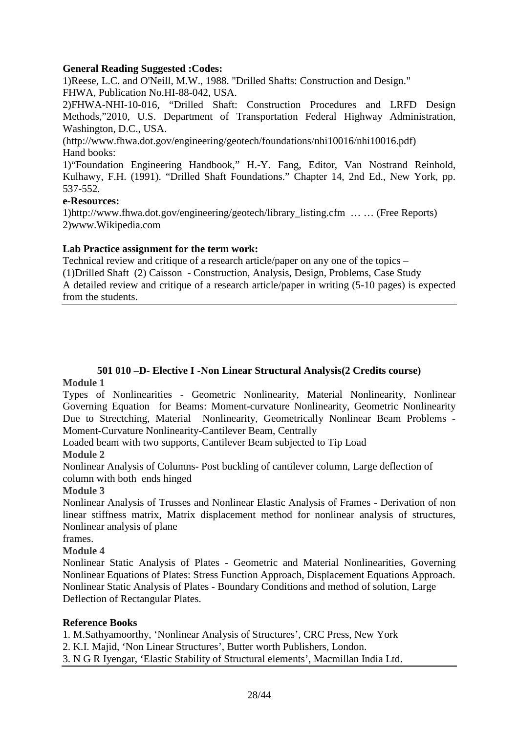## **General Reading Suggested :Codes:**

1)Reese, L.C. and O'Neill, M.W., 1988. "Drilled Shafts: Construction and Design." FHWA, Publication No.HI-88-042, USA.

2)FHWA-NHI-10-016, "Drilled Shaft: Construction Procedures and LRFD Design Methods,"2010, U.S. Department of Transportation Federal Highway Administration, Washington, D.C., USA.

(http://www.fhwa.dot.gov/engineering/geotech/foundations/nhi10016/nhi10016.pdf) Hand books:

1)"Foundation Engineering Handbook," H.-Y. Fang, Editor, Van Nostrand Reinhold, Kulhawy, F.H. (1991). "Drilled Shaft Foundations." Chapter 14, 2nd Ed., New York, pp. 537-552.

### **e-Resources:**

1)http://www.fhwa.dot.gov/engineering/geotech/library\_listing.cfm … … (Free Reports) 2)www.Wikipedia.com

## **Lab Practice assignment for the term work:**

Technical review and critique of a research article/paper on any one of the topics – (1)Drilled Shaft (2) Caisson - Construction, Analysis, Design, Problems, Case Study A detailed review and critique of a research article/paper in writing (5-10 pages) is expected from the students.

# **501 010 –D- Elective I -Non Linear Structural Analysis(2 Credits course)**

### **Module 1**

Types of Nonlinearities - Geometric Nonlinearity, Material Nonlinearity, Nonlinear Governing Equation for Beams: Moment-curvature Nonlinearity, Geometric Nonlinearity Due to Strectching, Material Nonlinearity, Geometrically Nonlinear Beam Problems - Moment-Curvature Nonlinearity-Cantilever Beam, Centrally

Loaded beam with two supports, Cantilever Beam subjected to Tip Load

### **Module 2**

Nonlinear Analysis of Columns- Post buckling of cantilever column, Large deflection of column with both ends hinged

### **Module 3**

Nonlinear Analysis of Trusses and Nonlinear Elastic Analysis of Frames - Derivation of non linear stiffness matrix, Matrix displacement method for nonlinear analysis of structures, Nonlinear analysis of plane

frames.

### **Module 4**

Nonlinear Static Analysis of Plates - Geometric and Material Nonlinearities, Governing Nonlinear Equations of Plates: Stress Function Approach, Displacement Equations Approach. Nonlinear Static Analysis of Plates - Boundary Conditions and method of solution, Large Deflection of Rectangular Plates.

### **Reference Books**

1. M.Sathyamoorthy, 'Nonlinear Analysis of Structures', CRC Press, New York

2. K.I. Majid, 'Non Linear Structures', Butter worth Publishers, London.

3. N G R Iyengar, 'Elastic Stability of Structural elements', Macmillan India Ltd.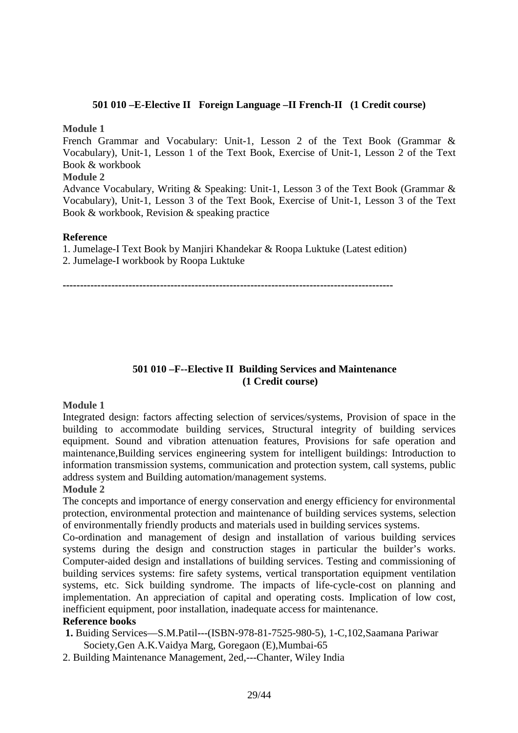## **501 010 –E-Elective II Foreign Language –II French-II (1 Credit course)**

### **Module 1**

French Grammar and Vocabulary: Unit-1, Lesson 2 of the Text Book (Grammar & Vocabulary), Unit-1, Lesson 1 of the Text Book, Exercise of Unit-1, Lesson 2 of the Text Book & workbook

### **Module 2**

Advance Vocabulary, Writing & Speaking: Unit-1, Lesson 3 of the Text Book (Grammar & Vocabulary), Unit-1, Lesson 3 of the Text Book, Exercise of Unit-1, Lesson 3 of the Text Book & workbook, Revision & speaking practice

## **Reference**

1. Jumelage-I Text Book by Manjiri Khandekar & Roopa Luktuke (Latest edition) 2. Jumelage-I workbook by Roopa Luktuke

**-----------------------------------------------------------------------------------------------** 

## **501 010 –F--Elective II Building Services and Maintenance (1 Credit course)**

### **Module 1**

Integrated design: factors affecting selection of services/systems, Provision of space in the building to accommodate building services, Structural integrity of building services equipment. Sound and vibration attenuation features, Provisions for safe operation and maintenance,Building services engineering system for intelligent buildings: Introduction to information transmission systems, communication and protection system, call systems, public address system and Building automation/management systems.

### **Module 2**

The concepts and importance of energy conservation and energy efficiency for environmental protection, environmental protection and maintenance of building services systems, selection of environmentally friendly products and materials used in building services systems.

Co-ordination and management of design and installation of various building services systems during the design and construction stages in particular the builder's works. Computer-aided design and installations of building services. Testing and commissioning of building services systems: fire safety systems, vertical transportation equipment ventilation systems, etc. Sick building syndrome. The impacts of life-cycle-cost on planning and implementation. An appreciation of capital and operating costs. Implication of low cost, inefficient equipment, poor installation, inadequate access for maintenance.

### **Reference books**

- **1.** Buiding Services—S.M.Patil---(ISBN-978-81-7525-980-5), 1-C,102,Saamana Pariwar Society,Gen A.K.Vaidya Marg, Goregaon (E),Mumbai-65
- 2. Building Maintenance Management, 2ed,---Chanter, Wiley India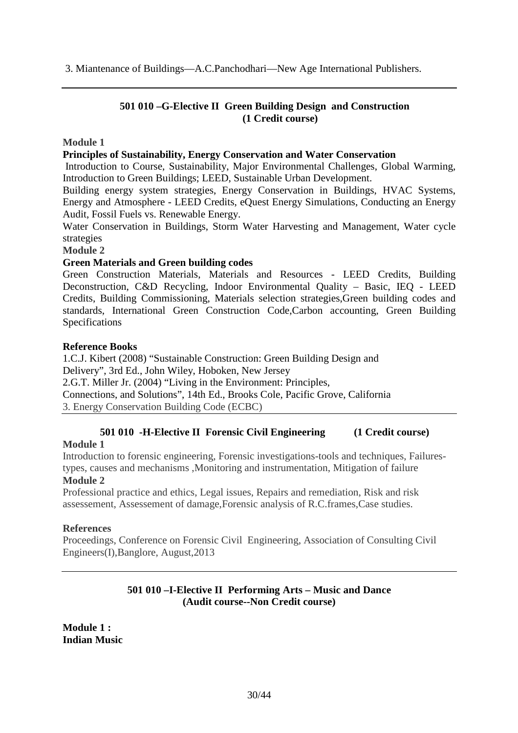3. Miantenance of Buildings—A.C.Panchodhari—New Age International Publishers.

## **501 010 –G-Elective II Green Building Design and Construction (1 Credit course)**

### **Module 1**

### **Principles of Sustainability, Energy Conservation and Water Conservation**

 Introduction to Course, Sustainability, Major Environmental Challenges, Global Warming, Introduction to Green Buildings; LEED, Sustainable Urban Development.

Building energy system strategies, Energy Conservation in Buildings, HVAC Systems, Energy and Atmosphere - LEED Credits, eQuest Energy Simulations, Conducting an Energy Audit, Fossil Fuels vs. Renewable Energy.

Water Conservation in Buildings, Storm Water Harvesting and Management, Water cycle strategies

**Module 2**

### **Green Materials and Green building codes**

Green Construction Materials, Materials and Resources - LEED Credits, Building Deconstruction, C&D Recycling, Indoor Environmental Quality – Basic, IEQ - LEED Credits, Building Commissioning, Materials selection strategies,Green building codes and standards, International Green Construction Code,Carbon accounting, Green Building Specifications

### **Reference Books**

1.C.J. Kibert (2008) "Sustainable Construction: Green Building Design and Delivery", 3rd Ed., John Wiley, Hoboken, New Jersey 2.G.T. Miller Jr. (2004) "Living in the Environment: Principles, Connections, and Solutions", 14th Ed., Brooks Cole, Pacific Grove, California 3. Energy Conservation Building Code (ECBC)

### **501 010 -H-Elective II Forensic Civil Engineering (1 Credit course)**

### **Module 1**

Introduction to forensic engineering, Forensic investigations-tools and techniques, Failurestypes, causes and mechanisms ,Monitoring and instrumentation, Mitigation of failure **Module 2** 

Professional practice and ethics, Legal issues, Repairs and remediation, Risk and risk assessement, Assessement of damage,Forensic analysis of R.C.frames,Case studies.

### **References**

Proceedings, Conference on Forensic Civil Engineering, Association of Consulting Civil Engineers(I),Banglore, August,2013

### **501 010 –I-Elective II Performing Arts – Music and Dance (Audit course--Non Credit course)**

**Module 1 : Indian Music**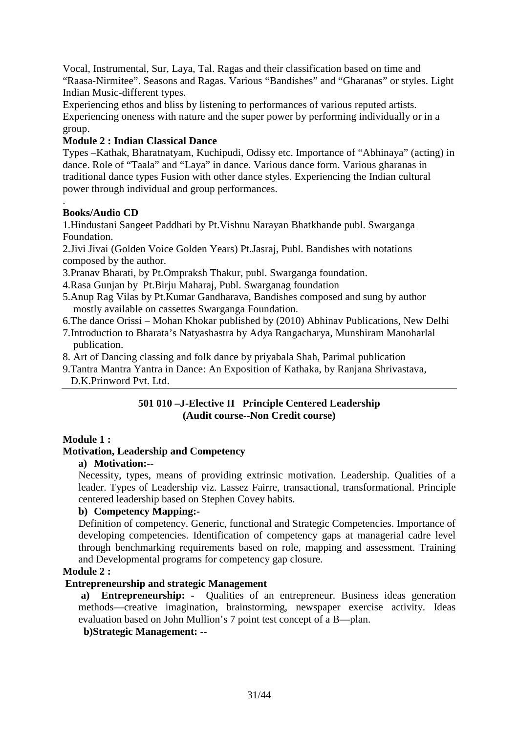Vocal, Instrumental, Sur, Laya, Tal. Ragas and their classification based on time and "Raasa-Nirmitee". Seasons and Ragas. Various "Bandishes" and "Gharanas" or styles. Light Indian Music-different types.

Experiencing ethos and bliss by listening to performances of various reputed artists. Experiencing oneness with nature and the super power by performing individually or in a group.

## **Module 2 : Indian Classical Dance**

Types –Kathak, Bharatnatyam, Kuchipudi, Odissy etc. Importance of "Abhinaya" (acting) in dance. Role of "Taala" and "Laya" in dance. Various dance form. Various gharanas in traditional dance types Fusion with other dance styles. Experiencing the Indian cultural power through individual and group performances.

### . **Books/Audio CD**

1.Hindustani Sangeet Paddhati by Pt.Vishnu Narayan Bhatkhande publ. Swarganga Foundation.

2.Jivi Jivai (Golden Voice Golden Years) Pt.Jasraj, Publ. Bandishes with notations composed by the author.

3.Pranav Bharati, by Pt.Ompraksh Thakur, publ. Swarganga foundation.

4.Rasa Gunjan by Pt.Birju Maharaj, Publ. Swarganag foundation

5.Anup Rag Vilas by Pt.Kumar Gandharava, Bandishes composed and sung by author mostly available on cassettes Swarganga Foundation.

6.The dance Orissi – Mohan Khokar published by (2010) Abhinav Publications, New Delhi

- 7.Introduction to Bharata's Natyashastra by Adya Rangacharya, Munshiram Manoharlal publication.
- 8. Art of Dancing classing and folk dance by priyabala Shah, Parimal publication
- 9.Tantra Mantra Yantra in Dance: An Exposition of Kathaka, by Ranjana Shrivastava, D.K.Prinword Pvt. Ltd.

## **501 010 –J-Elective II Principle Centered Leadership (Audit course--Non Credit course)**

### **Module 1 :**

## **Motivation, Leadership and Competency**

### **a) Motivation:--**

Necessity, types, means of providing extrinsic motivation. Leadership. Qualities of a leader. Types of Leadership viz. Lassez Fairre, transactional, transformational. Principle centered leadership based on Stephen Covey habits.

### **b) Competency Mapping:-**

Definition of competency. Generic, functional and Strategic Competencies. Importance of developing competencies. Identification of competency gaps at managerial cadre level through benchmarking requirements based on role, mapping and assessment. Training and Developmental programs for competency gap closure.

### **Module 2 :**

## **Entrepreneurship and strategic Management**

 **a) Entrepreneurship: -** Qualities of an entrepreneur. Business ideas generation methods—creative imagination, brainstorming, newspaper exercise activity. Ideas evaluation based on John Mullion's 7 point test concept of a B—plan.

## **b)Strategic Management: --**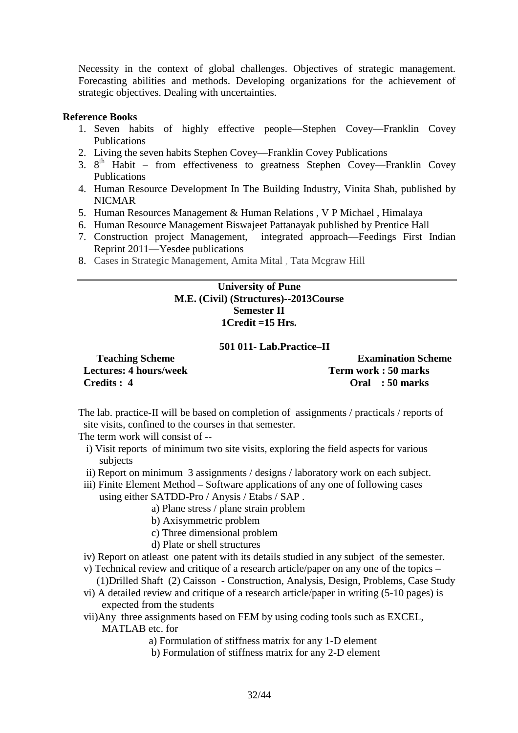Necessity in the context of global challenges. Objectives of strategic management. Forecasting abilities and methods. Developing organizations for the achievement of strategic objectives. Dealing with uncertainties.

### **Reference Books**

- 1. Seven habits of highly effective people—Stephen Covey—Franklin Covey Publications
- 2. Living the seven habits Stephen Covey—Franklin Covey Publications
- 3. 8<sup>th</sup> Habit from effectiveness to greatness Stephen Covey—Franklin Covey Publications
- 4. Human Resource Development In The Building Industry, Vinita Shah, published by NICMAR
- 5. Human Resources Management & Human Relations , V P Michael , Himalaya
- 6. Human Resource Management Biswajeet Pattanayak published by Prentice Hall
- 7. Construction project Management, integrated approach—Feedings First Indian Reprint 2011—Yesdee publications
- 8. Cases in Strategic Management, Amita Mital , Tata Mcgraw Hill

### **University of Pune M.E. (Civil) (Structures)--2013Course Semester II 1Credit =15 Hrs.**

### **501 011- Lab.Practice–II**

| <b>Teaching Scheme</b>        | <b>Examination Scheme</b> |
|-------------------------------|---------------------------|
| <b>Lectures: 4 hours/week</b> | Term work: 50 marks       |
| Credits: 4                    | Oral: 50 marks            |

The lab. practice-II will be based on completion of assignments / practicals / reports of site visits, confined to the courses in that semester.

The term work will consist of --

- i) Visit reports of minimum two site visits, exploring the field aspects for various subjects
- ii) Report on minimum 3 assignments / designs / laboratory work on each subject.
- iii) Finite Element Method Software applications of any one of following cases using either SATDD-Pro / Anysis / Etabs / SAP .
	- a) Plane stress / plane strain problem
	- b) Axisymmetric problem
	- c) Three dimensional problem
	- d) Plate or shell structures
- iv) Report on atleast one patent with its details studied in any subject of the semester.
- v) Technical review and critique of a research article/paper on any one of the topics –
- (1)Drilled Shaft (2) Caisson Construction, Analysis, Design, Problems, Case Study vi) A detailed review and critique of a research article/paper in writing (5-10 pages) is
	- expected from the students
- vii)Any three assignments based on FEM by using coding tools such as EXCEL, MATLAB etc. for
	- a) Formulation of stiffness matrix for any 1-D element
	- b) Formulation of stiffness matrix for any 2-D element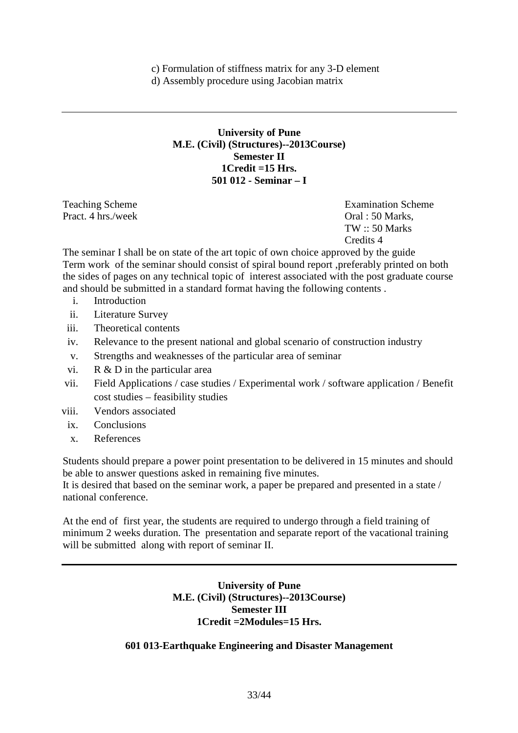c) Formulation of stiffness matrix for any 3-D element

d) Assembly procedure using Jacobian matrix

## **University of Pune M.E. (Civil) (Structures)--2013Course) Semester II 1Credit =15 Hrs. 501 012 - Seminar – I**

Pract. 4 hrs./week Oral : 50 Marks,

Teaching Scheme **Examination** Scheme TW :: 50 Marks Credits 4

The seminar I shall be on state of the art topic of own choice approved by the guide Term work of the seminar should consist of spiral bound report ,preferably printed on both the sides of pages on any technical topic of interest associated with the post graduate course and should be submitted in a standard format having the following contents .

- i. Introduction
- ii. Literature Survey
- iii. Theoretical contents
- iv. Relevance to the present national and global scenario of construction industry
- v. Strengths and weaknesses of the particular area of seminar
- vi. R & D in the particular area
- vii. Field Applications / case studies / Experimental work / software application / Benefit cost studies – feasibility studies
- viii. Vendors associated
	- ix. Conclusions
	- x. References

Students should prepare a power point presentation to be delivered in 15 minutes and should be able to answer questions asked in remaining five minutes.

It is desired that based on the seminar work, a paper be prepared and presented in a state / national conference.

At the end of first year, the students are required to undergo through a field training of minimum 2 weeks duration. The presentation and separate report of the vacational training will be submitted along with report of seminar II.

> **University of Pune M.E. (Civil) (Structures)--2013Course) Semester III 1Credit =2Modules=15 Hrs.**

### **601 013-Earthquake Engineering and Disaster Management**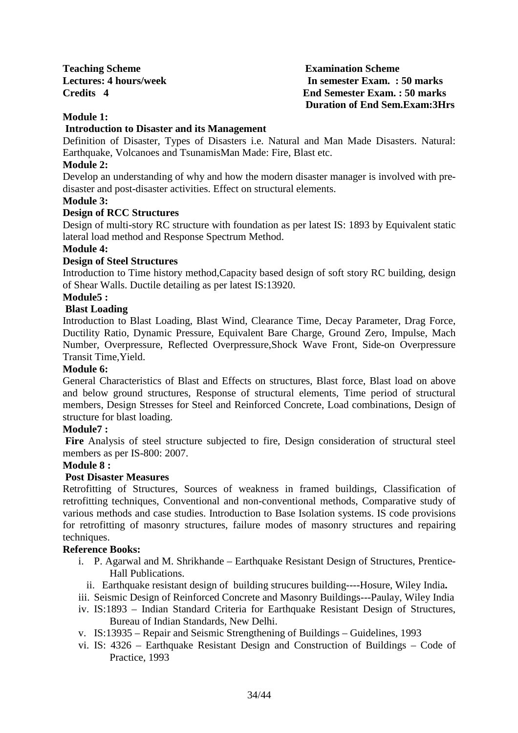**Teaching Scheme Examination Scheme** 

**Lectures: 4 hours/week In semester Exam. : 50 marks Credits 4 End Semester Exam. : 50 marks Duration of End Sem.Exam:3Hrs** 

### **Module 1:**

### **Introduction to Disaster and its Management**

Definition of Disaster, Types of Disasters i.e. Natural and Man Made Disasters. Natural: Earthquake, Volcanoes and TsunamisMan Made: Fire, Blast etc.

### **Module 2:**

Develop an understanding of why and how the modern disaster manager is involved with predisaster and post-disaster activities. Effect on structural elements.

### **Module 3:**

### **Design of RCC Structures**

Design of multi-story RC structure with foundation as per latest IS: 1893 by Equivalent static lateral load method and Response Spectrum Method.

### **Module 4:**

### **Design of Steel Structures**

Introduction to Time history method,Capacity based design of soft story RC building, design of Shear Walls. Ductile detailing as per latest IS:13920.

### **Module5 :**

### **Blast Loading**

Introduction to Blast Loading, Blast Wind, Clearance Time, Decay Parameter, Drag Force, Ductility Ratio, Dynamic Pressure, Equivalent Bare Charge, Ground Zero, Impulse, Mach Number, Overpressure, Reflected Overpressure,Shock Wave Front, Side-on Overpressure Transit Time,Yield.

### **Module 6:**

General Characteristics of Blast and Effects on structures, Blast force, Blast load on above and below ground structures, Response of structural elements, Time period of structural members, Design Stresses for Steel and Reinforced Concrete, Load combinations, Design of structure for blast loading.

### **Module7 :**

 **Fire** Analysis of steel structure subjected to fire, Design consideration of structural steel members as per IS-800: 2007.

### **Module 8 :**

### **Post Disaster Measures**

Retrofitting of Structures, Sources of weakness in framed buildings, Classification of retrofitting techniques, Conventional and non-conventional methods, Comparative study of various methods and case studies. Introduction to Base Isolation systems. IS code provisions for retrofitting of masonry structures, failure modes of masonry structures and repairing techniques.

### **Reference Books:**

- i. P. Agarwal and M. Shrikhande Earthquake Resistant Design of Structures, Prentice-Hall Publications.
	- ii. Earthquake resistant design of building strucures building----Hosure, Wiley India**.**

iii. Seismic Design of Reinforced Concrete and Masonry Buildings---Paulay, Wiley India

- iv. IS:1893 Indian Standard Criteria for Earthquake Resistant Design of Structures, Bureau of Indian Standards, New Delhi.
- v. IS:13935 Repair and Seismic Strengthening of Buildings Guidelines, 1993
- vi. IS: 4326 Earthquake Resistant Design and Construction of Buildings Code of Practice, 1993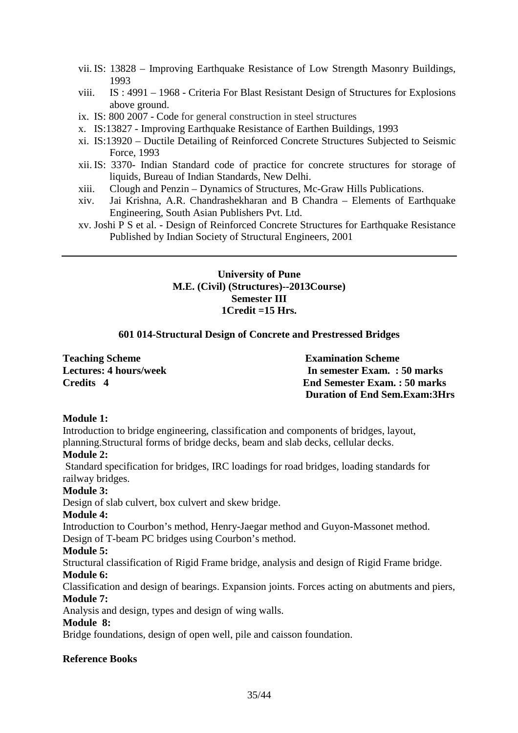- vii. IS: 13828 Improving Earthquake Resistance of Low Strength Masonry Buildings, 1993
- viii. IS : 4991 1968 Criteria For Blast Resistant Design of Structures for Explosions above ground.
- ix. IS: 800 2007 Code for general construction in steel structures
- x. IS:13827 Improving Earthquake Resistance of Earthen Buildings, 1993
- xi. IS:13920 Ductile Detailing of Reinforced Concrete Structures Subjected to Seismic Force, 1993
- xii. IS: 3370- Indian Standard code of practice for concrete structures for storage of liquids, Bureau of Indian Standards, New Delhi.
- xiii. Clough and Penzin Dynamics of Structures, Mc-Graw Hills Publications.
- xiv. Jai Krishna, A.R. Chandrashekharan and B Chandra Elements of Earthquake Engineering, South Asian Publishers Pvt. Ltd.
- xv. Joshi P S et al. Design of Reinforced Concrete Structures for Earthquake Resistance Published by Indian Society of Structural Engineers, 2001

### **University of Pune M.E. (Civil) (Structures)--2013Course) Semester III 1Credit =15 Hrs.**

### **601 014-Structural Design of Concrete and Prestressed Bridges**

**Teaching Scheme Examination Scheme** 

**Lectures: 4 hours/week In semester Exam. : 50 marks Credits 4 End Semester Exam. : 50 marks Duration of End Sem.Exam:3Hrs** 

### **Module 1:**

Introduction to bridge engineering, classification and components of bridges, layout, planning.Structural forms of bridge decks, beam and slab decks, cellular decks.

### **Module 2:**

 Standard specification for bridges, IRC loadings for road bridges, loading standards for railway bridges.

### **Module 3:**

Design of slab culvert, box culvert and skew bridge.

### **Module 4:**

Introduction to Courbon's method, Henry-Jaegar method and Guyon-Massonet method. Design of T-beam PC bridges using Courbon's method.

### **Module 5:**

Structural classification of Rigid Frame bridge, analysis and design of Rigid Frame bridge. **Module 6:** 

Classification and design of bearings. Expansion joints. Forces acting on abutments and piers, **Module 7:** 

Analysis and design, types and design of wing walls.

### **Module 8:**

Bridge foundations, design of open well, pile and caisson foundation.

### **Reference Books**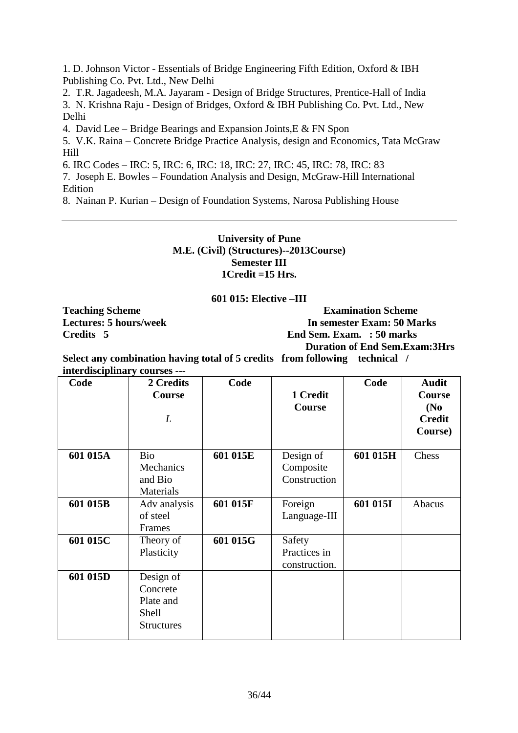1. D. Johnson Victor - Essentials of Bridge Engineering Fifth Edition, Oxford & IBH Publishing Co. Pvt. Ltd., New Delhi

2. T.R. Jagadeesh, M.A. Jayaram - Design of Bridge Structures, Prentice-Hall of India 3. N. Krishna Raju - Design of Bridges, Oxford & IBH Publishing Co. Pvt. Ltd., New Delhi

4. David Lee – Bridge Bearings and Expansion Joints,E & FN Spon

5. V.K. Raina – Concrete Bridge Practice Analysis, design and Economics, Tata McGraw Hill

6. IRC Codes – IRC: 5, IRC: 6, IRC: 18, IRC: 27, IRC: 45, IRC: 78, IRC: 83

7. Joseph E. Bowles – Foundation Analysis and Design, McGraw-Hill International Edition

8. Nainan P. Kurian – Design of Foundation Systems, Narosa Publishing House

## **University of Pune M.E. (Civil) (Structures)--2013Course) Semester III 1Credit =15 Hrs.**

### **601 015: Elective –III**

**Teaching Scheme Examination Scheme Lectures: 5 hours/week In semester Exam: 50 Marks Credits 5 End Sem. Exam. : 50 marks Duration of End Sem.Exam:3Hrs** 

**Select any combination having total of 5 credits from following technical / interdisciplinary courses ---**

| Code     | 2 Credits         | Code     |               | Code     | <b>Audit</b>      |
|----------|-------------------|----------|---------------|----------|-------------------|
|          | Course            |          | 1 Credit      |          | Course            |
|          |                   |          | Course        |          | (N <sub>0</sub> ) |
|          | L                 |          |               |          | <b>Credit</b>     |
|          |                   |          |               |          | Course)           |
|          |                   |          |               |          |                   |
| 601 015A | <b>Bio</b>        | 601 015E | Design of     | 601 015H | Chess             |
|          | Mechanics         |          | Composite     |          |                   |
|          | and Bio           |          | Construction  |          |                   |
|          | Materials         |          |               |          |                   |
| 601 015B | Adv analysis      | 601 015F | Foreign       | 601 015I | Abacus            |
|          | of steel          |          | Language-III  |          |                   |
|          | Frames            |          |               |          |                   |
| 601 015C | Theory of         | 601 015G | Safety        |          |                   |
|          | Plasticity        |          | Practices in  |          |                   |
|          |                   |          | construction. |          |                   |
| 601 015D | Design of         |          |               |          |                   |
|          | Concrete          |          |               |          |                   |
|          | Plate and         |          |               |          |                   |
|          | Shell             |          |               |          |                   |
|          | <b>Structures</b> |          |               |          |                   |
|          |                   |          |               |          |                   |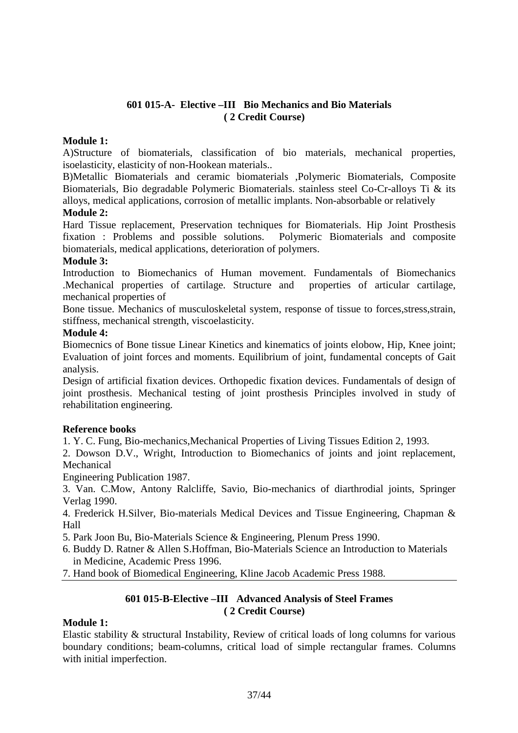## **601 015-A- Elective –III Bio Mechanics and Bio Materials ( 2 Credit Course)**

### **Module 1:**

A)Structure of biomaterials, classification of bio materials, mechanical properties, isoelasticity, elasticity of non-Hookean materials..

B)Metallic Biomaterials and ceramic biomaterials ,Polymeric Biomaterials, Composite Biomaterials, Bio degradable Polymeric Biomaterials. stainless steel Co-Cr-alloys Ti & its alloys, medical applications, corrosion of metallic implants. Non-absorbable or relatively

### **Module 2:**

Hard Tissue replacement, Preservation techniques for Biomaterials. Hip Joint Prosthesis fixation : Problems and possible solutions. Polymeric Biomaterials and composite biomaterials, medical applications, deterioration of polymers.

### **Module 3:**

Introduction to Biomechanics of Human movement. Fundamentals of Biomechanics .Mechanical properties of cartilage. Structure and properties of articular cartilage, mechanical properties of

Bone tissue. Mechanics of musculoskeletal system, response of tissue to forces,stress,strain, stiffness, mechanical strength, viscoelasticity.

### **Module 4:**

Biomecnics of Bone tissue Linear Kinetics and kinematics of joints elobow, Hip, Knee joint; Evaluation of joint forces and moments. Equilibrium of joint, fundamental concepts of Gait analysis.

Design of artificial fixation devices. Orthopedic fixation devices. Fundamentals of design of joint prosthesis. Mechanical testing of joint prosthesis Principles involved in study of rehabilitation engineering.

### **Reference books**

1. Y. C. Fung, Bio-mechanics,Mechanical Properties of Living Tissues Edition 2, 1993.

2. Dowson D.V., Wright, Introduction to Biomechanics of joints and joint replacement, Mechanical

Engineering Publication 1987.

3. Van. C.Mow, Antony Ralcliffe, Savio, Bio-mechanics of diarthrodial joints, Springer Verlag 1990.

4. Frederick H.Silver, Bio-materials Medical Devices and Tissue Engineering, Chapman & Hall

5. Park Joon Bu, Bio-Materials Science & Engineering, Plenum Press 1990.

- 6. Buddy D. Ratner & Allen S.Hoffman, Bio-Materials Science an Introduction to Materials in Medicine, Academic Press 1996.
- 7. Hand book of Biomedical Engineering, Kline Jacob Academic Press 1988.

## **601 015-B-Elective –III Advanced Analysis of Steel Frames ( 2 Credit Course)**

### **Module 1:**

Elastic stability & structural Instability, Review of critical loads of long columns for various boundary conditions; beam-columns, critical load of simple rectangular frames. Columns with initial imperfection.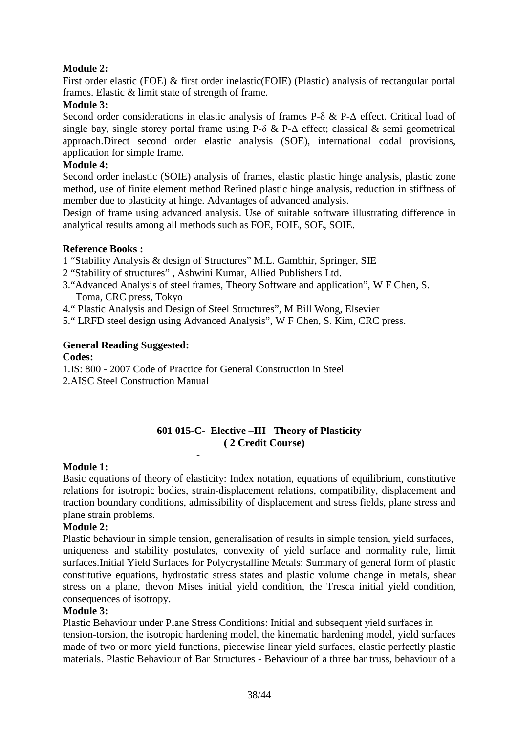## **Module 2:**

First order elastic (FOE) & first order inelastic(FOIE) (Plastic) analysis of rectangular portal frames. Elastic & limit state of strength of frame.

## **Module 3:**

Second order considerations in elastic analysis of frames P-δ & P-∆ effect. Critical load of single bay, single storey portal frame using P- $\delta \& P-\Delta$  effect; classical  $\&$  semi geometrical approach.Direct second order elastic analysis (SOE), international codal provisions, application for simple frame.

## **Module 4:**

Second order inelastic (SOIE) analysis of frames, elastic plastic hinge analysis, plastic zone method, use of finite element method Refined plastic hinge analysis, reduction in stiffness of member due to plasticity at hinge. Advantages of advanced analysis.

Design of frame using advanced analysis. Use of suitable software illustrating difference in analytical results among all methods such as FOE, FOIE, SOE, SOIE.

## **Reference Books :**

1 "Stability Analysis & design of Structures" M.L. Gambhir, Springer, SIE

- 2 "Stability of structures" , Ashwini Kumar, Allied Publishers Ltd.
- 3."Advanced Analysis of steel frames, Theory Software and application", W F Chen, S. Toma, CRC press, Tokyo
- 4." Plastic Analysis and Design of Steel Structures", M Bill Wong, Elsevier
- 5." LRFD steel design using Advanced Analysis", W F Chen, S. Kim, CRC press.

## **General Reading Suggested:**

**Codes:**  1.IS: 800 - 2007 Code of Practice for General Construction in Steel 2.AISC Steel Construction Manual

**-**

## **601 015-C- Elective –III Theory of Plasticity ( 2 Credit Course)**

### **Module 1:**

Basic equations of theory of elasticity: Index notation, equations of equilibrium, constitutive relations for isotropic bodies, strain-displacement relations, compatibility, displacement and traction boundary conditions, admissibility of displacement and stress fields, plane stress and plane strain problems.

### **Module 2:**

Plastic behaviour in simple tension, generalisation of results in simple tension, yield surfaces, uniqueness and stability postulates, convexity of yield surface and normality rule, limit surfaces.Initial Yield Surfaces for Polycrystalline Metals: Summary of general form of plastic constitutive equations, hydrostatic stress states and plastic volume change in metals, shear stress on a plane, thevon Mises initial yield condition, the Tresca initial yield condition, consequences of isotropy.

### **Module 3:**

Plastic Behaviour under Plane Stress Conditions: Initial and subsequent yield surfaces in tension-torsion, the isotropic hardening model, the kinematic hardening model, yield surfaces made of two or more yield functions, piecewise linear yield surfaces, elastic perfectly plastic materials. Plastic Behaviour of Bar Structures - Behaviour of a three bar truss, behaviour of a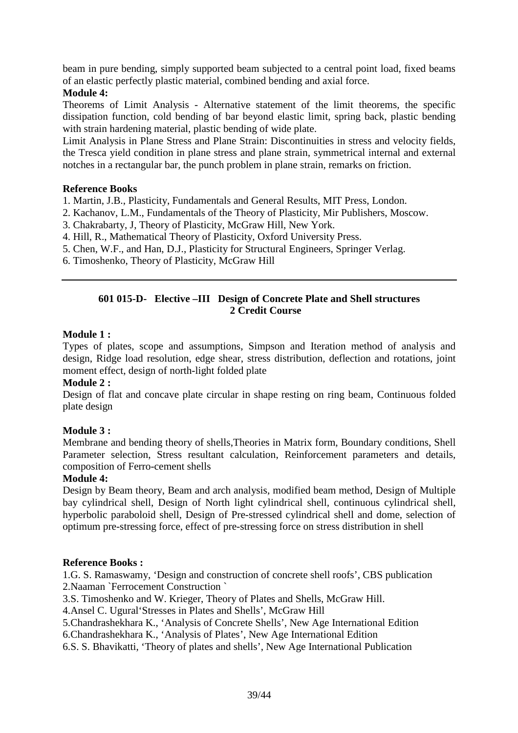beam in pure bending, simply supported beam subjected to a central point load, fixed beams of an elastic perfectly plastic material, combined bending and axial force.

## **Module 4:**

Theorems of Limit Analysis - Alternative statement of the limit theorems, the specific dissipation function, cold bending of bar beyond elastic limit, spring back, plastic bending with strain hardening material, plastic bending of wide plate.

Limit Analysis in Plane Stress and Plane Strain: Discontinuities in stress and velocity fields, the Tresca yield condition in plane stress and plane strain, symmetrical internal and external notches in a rectangular bar, the punch problem in plane strain, remarks on friction.

## **Reference Books**

1. Martin, J.B., Plasticity, Fundamentals and General Results, MIT Press, London.

- 2. Kachanov, L.M., Fundamentals of the Theory of Plasticity, Mir Publishers, Moscow.
- 3. Chakrabarty, J, Theory of Plasticity, McGraw Hill, New York.
- 4. Hill, R., Mathematical Theory of Plasticity, Oxford University Press.
- 5. Chen, W.F., and Han, D.J., Plasticity for Structural Engineers, Springer Verlag.
- 6. Timoshenko, Theory of Plasticity, McGraw Hill

## **601 015-D- Elective –III Design of Concrete Plate and Shell structures 2 Credit Course**

### **Module 1 :**

Types of plates, scope and assumptions, Simpson and Iteration method of analysis and design, Ridge load resolution, edge shear, stress distribution, deflection and rotations, joint moment effect, design of north-light folded plate

### **Module 2 :**

Design of flat and concave plate circular in shape resting on ring beam, Continuous folded plate design

## **Module 3 :**

Membrane and bending theory of shells,Theories in Matrix form, Boundary conditions, Shell Parameter selection, Stress resultant calculation, Reinforcement parameters and details, composition of Ferro-cement shells

### **Module 4:**

Design by Beam theory, Beam and arch analysis, modified beam method, Design of Multiple bay cylindrical shell, Design of North light cylindrical shell, continuous cylindrical shell, hyperbolic paraboloid shell, Design of Pre-stressed cylindrical shell and dome, selection of optimum pre-stressing force, effect of pre-stressing force on stress distribution in shell

### **Reference Books :**

1.G. S. Ramaswamy, 'Design and construction of concrete shell roofs', CBS publication 2.Naaman `Ferrocement Construction `

3.S. Timoshenko and W. Krieger, Theory of Plates and Shells, McGraw Hill.

4.Ansel C. Ugural'Stresses in Plates and Shells', McGraw Hill

5.Chandrashekhara K., 'Analysis of Concrete Shells', New Age International Edition

6.Chandrashekhara K., 'Analysis of Plates', New Age International Edition

6.S. S. Bhavikatti, 'Theory of plates and shells', New Age International Publication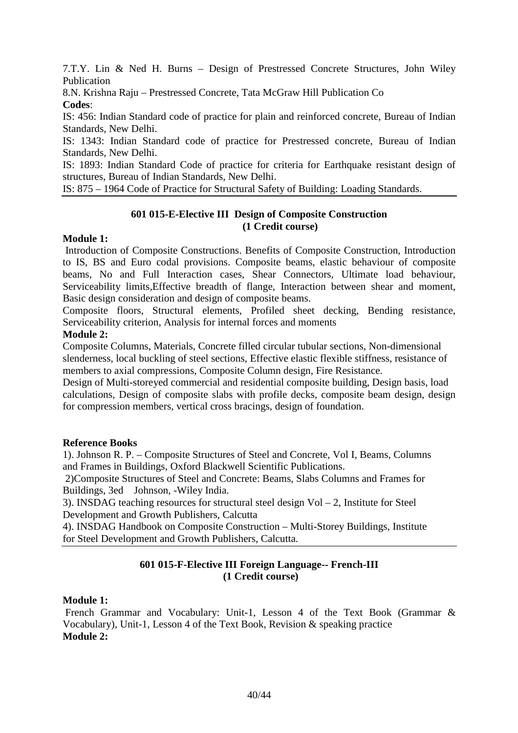7.T.Y. Lin & Ned H. Burns – Design of Prestressed Concrete Structures, John Wiley Publication

8.N. Krishna Raju – Prestressed Concrete, Tata McGraw Hill Publication Co **Codes**:

IS: 456: Indian Standard code of practice for plain and reinforced concrete, Bureau of Indian Standards, New Delhi.

IS: 1343: Indian Standard code of practice for Prestressed concrete, Bureau of Indian Standards, New Delhi.

IS: 1893: Indian Standard Code of practice for criteria for Earthquake resistant design of structures, Bureau of Indian Standards, New Delhi.

IS: 875 – 1964 Code of Practice for Structural Safety of Building: Loading Standards.

### **601 015-E-Elective III Design of Composite Construction (1 Credit course)**

### **Module 1:**

 Introduction of Composite Constructions. Benefits of Composite Construction, Introduction to IS, BS and Euro codal provisions. Composite beams, elastic behaviour of composite beams, No and Full Interaction cases, Shear Connectors, Ultimate load behaviour, Serviceability limits,Effective breadth of flange, Interaction between shear and moment, Basic design consideration and design of composite beams.

Composite floors, Structural elements, Profiled sheet decking, Bending resistance, Serviceability criterion, Analysis for internal forces and moments

### **Module 2:**

Composite Columns, Materials, Concrete filled circular tubular sections, Non-dimensional slenderness, local buckling of steel sections, Effective elastic flexible stiffness, resistance of members to axial compressions, Composite Column design, Fire Resistance.

Design of Multi-storeyed commercial and residential composite building, Design basis, load calculations, Design of composite slabs with profile decks, composite beam design, design for compression members, vertical cross bracings, design of foundation.

### **Reference Books**

1). Johnson R. P. – Composite Structures of Steel and Concrete, Vol I, Beams, Columns and Frames in Buildings, Oxford Blackwell Scientific Publications.

 2)Composite Structures of Steel and Concrete: Beams, Slabs Columns and Frames for Buildings, 3ed Johnson, -Wiley India.

3). INSDAG teaching resources for structural steel design Vol – 2, Institute for Steel Development and Growth Publishers, Calcutta

4). INSDAG Handbook on Composite Construction – Multi-Storey Buildings, Institute for Steel Development and Growth Publishers, Calcutta.

### **601 015-F-Elective III Foreign Language-- French-III (1 Credit course)**

### **Module 1:**

French Grammar and Vocabulary: Unit-1, Lesson 4 of the Text Book (Grammar & Vocabulary), Unit-1, Lesson 4 of the Text Book, Revision & speaking practice **Module 2:**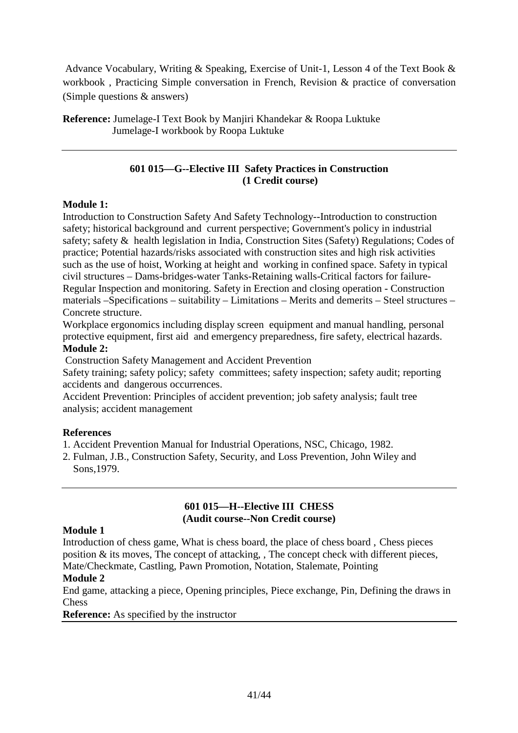Advance Vocabulary, Writing & Speaking, Exercise of Unit-1, Lesson 4 of the Text Book & workbook , Practicing Simple conversation in French, Revision & practice of conversation (Simple questions & answers)

**Reference:** Jumelage-I Text Book by Manjiri Khandekar & Roopa Luktuke Jumelage-I workbook by Roopa Luktuke

## **601 015—G--Elective III Safety Practices in Construction (1 Credit course)**

## **Module 1:**

Introduction to Construction Safety And Safety Technology--Introduction to construction safety; historical background and current perspective; Government's policy in industrial safety; safety & health legislation in India, Construction Sites (Safety) Regulations; Codes of practice; Potential hazards/risks associated with construction sites and high risk activities such as the use of hoist, Working at height and working in confined space. Safety in typical civil structures – Dams-bridges-water Tanks-Retaining walls-Critical factors for failure-Regular Inspection and monitoring. Safety in Erection and closing operation - Construction materials –Specifications – suitability – Limitations – Merits and demerits – Steel structures – Concrete structure.

Workplace ergonomics including display screen equipment and manual handling, personal protective equipment, first aid and emergency preparedness, fire safety, electrical hazards. **Module 2:**

Construction Safety Management and Accident Prevention

Safety training; safety policy; safety committees; safety inspection; safety audit; reporting accidents and dangerous occurrences.

Accident Prevention: Principles of accident prevention; job safety analysis; fault tree analysis; accident management

## **References**

1. Accident Prevention Manual for Industrial Operations, NSC, Chicago, 1982.

2. Fulman, J.B., Construction Safety, Security, and Loss Prevention, John Wiley and Sons,1979.

## **601 015—H--Elective III CHESS (Audit course--Non Credit course)**

### **Module 1**

Introduction of chess game, What is chess board, the place of chess board , Chess pieces position & its moves, The concept of attacking, , The concept check with different pieces, Mate/Checkmate, Castling, Pawn Promotion, Notation, Stalemate, Pointing

## **Module 2**

End game, attacking a piece, Opening principles, Piece exchange, Pin, Defining the draws in **Chess** 

**Reference:** As specified by the instructor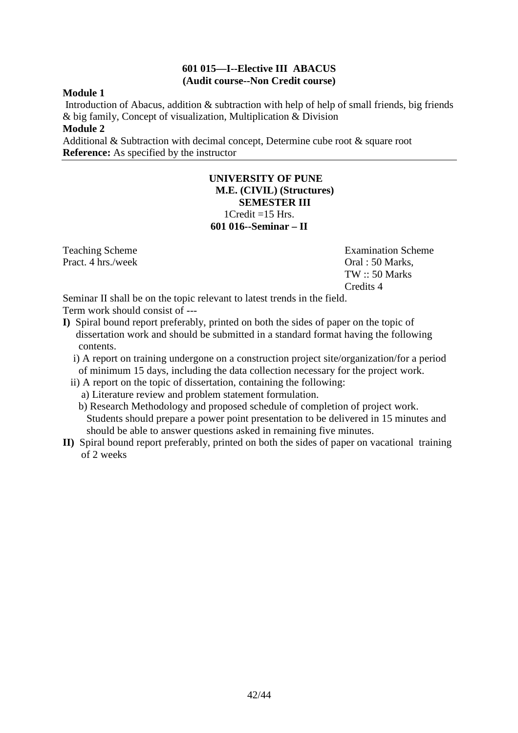### **601 015—I--Elective III ABACUS (Audit course--Non Credit course)**

### **Module 1**

 Introduction of Abacus, addition & subtraction with help of help of small friends, big friends & big family, Concept of visualization, Multiplication & Division

### **Module 2**

Additional & Subtraction with decimal concept, Determine cube root & square root **Reference:** As specified by the instructor

## **UNIVERSITY OF PUNE M.E. (CIVIL) (Structures) SEMESTER III**  1Credit =15 Hrs. **601 016--Seminar – II**

Pract. 4 hrs./week Oral : 50 Marks,

Teaching Scheme **Examination** Scheme **Examination** Scheme TW :: 50 Marks Credits 4

Seminar II shall be on the topic relevant to latest trends in the field.

Term work should consist of ---

- **I)** Spiral bound report preferably, printed on both the sides of paper on the topic of dissertation work and should be submitted in a standard format having the following contents.
	- i) A report on training undergone on a construction project site/organization/for a period of minimum 15 days, including the data collection necessary for the project work.
	- ii) A report on the topic of dissertation, containing the following:
		- a) Literature review and problem statement formulation.
		- b) Research Methodology and proposed schedule of completion of project work. Students should prepare a power point presentation to be delivered in 15 minutes and should be able to answer questions asked in remaining five minutes.
- **II)** Spiral bound report preferably, printed on both the sides of paper on vacational training of 2 weeks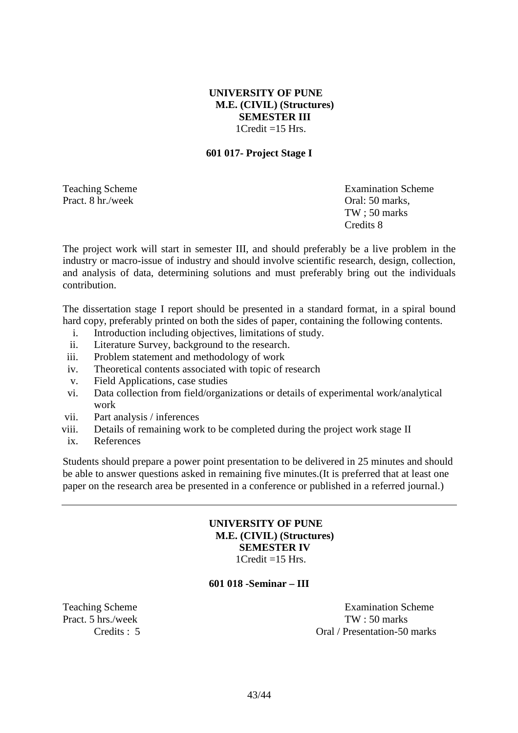### **UNIVERSITY OF PUNE M.E. (CIVIL) (Structures) SEMESTER III**   $1C$ redit  $=15$  Hrs.

### **601 017- Project Stage I**

Pract. 8 hr./week Oral: 50 marks,

Teaching Scheme **Examination** Scheme **Examination** Scheme TW ; 50 marks Credits 8

The project work will start in semester III, and should preferably be a live problem in the industry or macro-issue of industry and should involve scientific research, design, collection, and analysis of data, determining solutions and must preferably bring out the individuals contribution.

The dissertation stage I report should be presented in a standard format, in a spiral bound hard copy, preferably printed on both the sides of paper, containing the following contents.

- i. Introduction including objectives, limitations of study.
- ii. Literature Survey, background to the research.
- iii. Problem statement and methodology of work
- iv. Theoretical contents associated with topic of research
- v. Field Applications, case studies
- vi. Data collection from field/organizations or details of experimental work/analytical work
- vii. Part analysis / inferences
- viii. Details of remaining work to be completed during the project work stage II
- ix. References

Students should prepare a power point presentation to be delivered in 25 minutes and should be able to answer questions asked in remaining five minutes.(It is preferred that at least one paper on the research area be presented in a conference or published in a referred journal.)

## **UNIVERSITY OF PUNE M.E. (CIVIL) (Structures) SEMESTER IV**   $1C$ redit  $=15$  Hrs.

### **601 018 -Seminar – III**

Teaching Scheme **Examination** Scheme Pract. 5 hrs./week TW: 50 marks Credits : 5 Oral / Presentation-50 marks